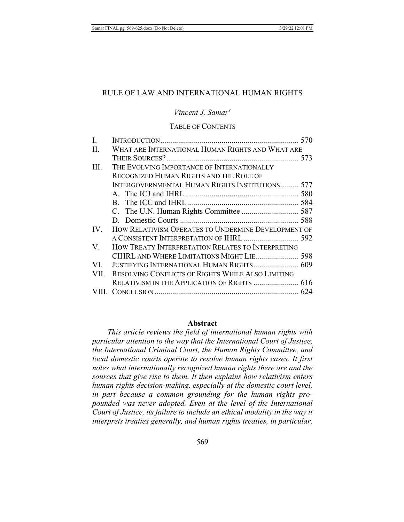# RULE OF LAW AND INTERNATIONAL HUMAN RIGHTS

Vincent J. Samar<sup>†</sup>

## **TABLE OF CONTENTS**

| L.   |                                                          |  |
|------|----------------------------------------------------------|--|
| II.  | WHAT ARE INTERNATIONAL HUMAN RIGHTS AND WHAT ARE         |  |
|      |                                                          |  |
| III. | THE EVOLVING IMPORTANCE OF INTERNATIONALLY               |  |
|      | RECOGNIZED HUMAN RIGHTS AND THE ROLE OF                  |  |
|      | INTERGOVERNMENTAL HUMAN RIGHTS INSTITUTIONS 577          |  |
|      |                                                          |  |
|      |                                                          |  |
|      |                                                          |  |
|      |                                                          |  |
| IV.  | HOW RELATIVISM OPERATES TO UNDERMINE DEVELOPMENT OF      |  |
|      | A CONSISTENT INTERPRETATION OF IHRL 592                  |  |
| V.   | HOW TREATY INTERPRETATION RELATES TO INTERPRETING        |  |
|      | CIHRL AND WHERE LIMITATIONS MIGHT LIE 598                |  |
| VI.  | JUSTIFYING INTERNATIONAL HUMAN RIGHTS 609                |  |
| VII. | <b>RESOLVING CONFLICTS OF RIGHTS WHILE ALSO LIMITING</b> |  |
|      |                                                          |  |
|      |                                                          |  |
|      |                                                          |  |

#### **Abstract**

This article reviews the field of international human rights with particular attention to the way that the International Court of Justice, the International Criminal Court, the Human Rights Committee, and local domestic courts operate to resolve human rights cases. It first notes what internationally recognized human rights there are and the sources that give rise to them. It then explains how relativism enters human rights decision-making, especially at the domestic court level, in part because a common grounding for the human rights propounded was never adopted. Even at the level of the International Court of Justice, its failure to include an ethical modality in the way it interprets treaties generally, and human rights treaties, in particular,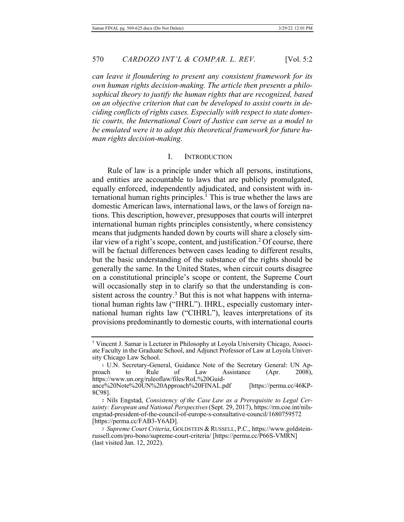can leave it floundering to present any consistent framework for its  $own$  human rights decision-making. The article then presents a philosophical theory to justify the human rights that are recognized, based  $\overline{a}$  on an objective criterion that can be developed to assist courts in de $c$ *iding conflicts of rights cases. Especially with respect to state domestic courts, the International Court of Justice can serve as a model to* be emulated were it to adopt this theoretical framework for future hu*man rights decision-making.* 

#### I. INTRODUCTION

Rule of law is a principle under which all persons, institutions, and entities are accountable to laws that are publicly promulgated, equally enforced, independently adjudicated, and consistent with international human rights principles.<sup>1</sup> This is true whether the laws are domestic American laws, international laws, or the laws of foreign nations. This description, however, presupposes that courts will interpret international human rights principles consistently, where consistency means that judgments handed down by courts will share a closely similar view of a right's scope, content, and justification.<sup>2</sup> Of course, there will be factual differences between cases leading to different results, but the basic understanding of the substance of the rights should be generally the same. In the United States, when circuit courts disagree on a constitutional principle's scope or content, the Supreme Court will occasionally step in to clarify so that the understanding is consistent across the country.<sup>3</sup> But this is not what happens with international human rights law ("IHRL"). IHRL, especially customary international human rights law ("CIHRL"), leaves interpretations of its provisions predominantly to domestic courts, with international courts

<sup>&</sup>lt;sup>†</sup> Vincent J. Samar is Lecturer in Philosophy at Loyola University Chicago, Associate Faculty in the Graduate School, and Adjunct Professor of Law at Loyola University Chicago Law School.

 $+$  U.N. Secretary-General, Guidance Note of the Secretary General: UN Approach to Rule of Law Assistance (Apr. 2008), https://www.un.org/ruleoflaw/files/RoL%20Guidance%20Note%20UN%20Approach%20FINAL.pdf /perma.cc/46KP-8C98].

<sup>&</sup>lt;sup>2</sup> Nils Engstad, *Consistency of the Case Law as a Prerequisite to Legal Cer*tainty: European and National Perspectives (Sept. 29, 2017), https://rm.coe.int/nilsengstad-president-of-the-council-of-europe-s-consultative-council/1680759572 [https://perma.cc/FAB3-Y6AD].

<sup>3</sup> Supreme Court Criteria, GOLDSTEIN & RUSSELL, P.C., https://www.goldsteinrussell.com/pro-bono/supreme-court-criteria/ [https://perma.cc/P66S-VMRN]  $($ last visited Jan. 12, 2022).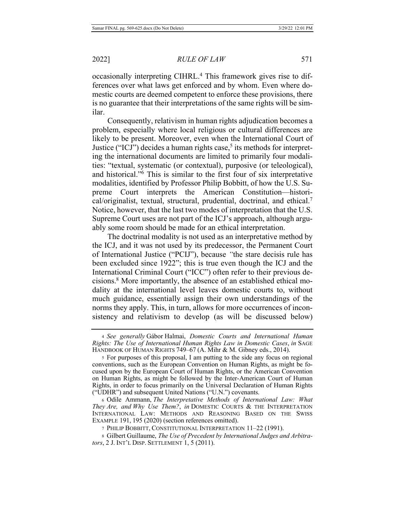occasionally interpreting CIHRL.<sup>4</sup> This framework gives rise to differences over what laws get enforced and by whom. Even where domestic courts are deemed competent to enforce these provisions, there is no guarantee that their interpretations of the same rights will be similar.

Consequently, relativism in human rights adjudication becomes a problem, especially where local religious or cultural differences are likely to be present. Moreover, even when the International Court of Justice ("ICJ") decides a human rights case,<sup>5</sup> its methods for interpreting the international documents are limited to primarily four modalities: "textual, systematic (or contextual), purposive (or teleological), and historical."<sup>6</sup> This is similar to the first four of six interpretative modalities, identified by Professor Philip Bobbitt, of how the U.S. Supreme Court interprets the American Constitution—historical/originalist, textual, structural, prudential, doctrinal, and ethical.<sup>7</sup> Notice, however, that the last two modes of interpretation that the U.S. Supreme Court uses are not part of the ICJ's approach, although arguably some room should be made for an ethical interpretation.

The doctrinal modality is not used as an interpretative method by the ICJ, and it was not used by its predecessor, the Permanent Court of International Justice ("PCIJ"), because "the stare decisis rule has been excluded since 1922"; this is true even though the ICJ and the International Criminal Court ("ICC") often refer to their previous decisions.<sup>8</sup> More importantly, the absence of an established ethical modality at the international level leaves domestic courts to, without much guidance, essentially assign their own understandings of the norms they apply. This, in turn, allows for more occurrences of inconsistency and relativism to develop (as will be discussed below)

<sup>4</sup> See generally Gábor Halmai, *Domestic Courts and International Human* Rights: The Use of International Human Rights Law in Domestic Cases, in SAGE HANDBOOK OF HUMAN RIGHTS 749-67 (A. Mihr & M. Gibney eds., 2014).

<sup>5</sup> For purposes of this proposal, I am putting to the side any focus on regional conventions, such as the European Convention on Human Rights, as might be focused upon by the European Court of Human Rights, or the American Convention on Human Rights, as might be followed by the Inter-American Court of Human Rights, in order to focus primarily on the Universal Declaration of Human Rights ("UDHR") and subsequent United Nations ("U.N.") covenants.

<sup>6</sup> Odile Ammann, The Interpretative Methods of International Law: What *They Are, and Why Use Them?, in DOMESTIC COURTS & THE INTERPRETATION* INTERNATIONAL LAW: METHODS AND REASONING BASED ON THE SWISS EXAMPLE 191, 195 (2020) (section references omitted).

<sup>7</sup> PHILIP BOBBITT, CONSTITUTIONAL INTERPRETATION 11-22 (1991).

 $8$  Gilbert Guillaume, The Use of Precedent by International Judges and Arbitrators, 2 J. INT'L DISP. SETTLEMENT 1, 5 (2011).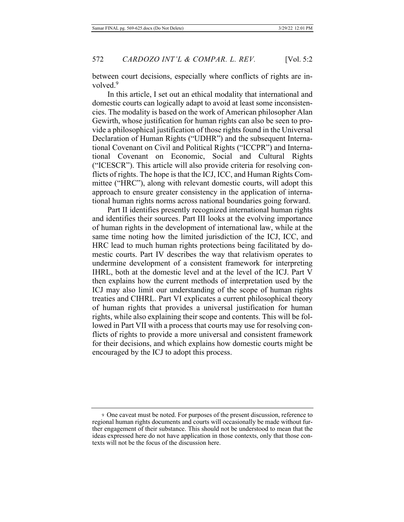between court decisions, especially where conflicts of rights are involved.<sup>9</sup>

In this article, I set out an ethical modality that international and domestic courts can logically adapt to avoid at least some inconsistencies. The modality is based on the work of American philosopher Alan Gewirth, whose justification for human rights can also be seen to provide a philosophical justification of those rights found in the Universal Declaration of Human Rights ("UDHR") and the subsequent International Covenant on Civil and Political Rights ("ICCPR") and International Covenant on Economic, Social and Cultural Rights ("ICESCR"). This article will also provide criteria for resolving conflicts of rights. The hope is that the ICJ, ICC, and Human Rights Committee ("HRC"), along with relevant domestic courts, will adopt this approach to ensure greater consistency in the application of international human rights norms across national boundaries going forward.

Part II identifies presently recognized international human rights and identifies their sources. Part III looks at the evolving importance of human rights in the development of international law, while at the same time noting how the limited jurisdiction of the ICJ, ICC, and HRC lead to much human rights protections being facilitated by domestic courts. Part IV describes the way that relativism operates to undermine development of a consistent framework for interpreting IHRL, both at the domestic level and at the level of the ICJ. Part V then explains how the current methods of interpretation used by the ICJ may also limit our understanding of the scope of human rights treaties and CIHRL. Part VI explicates a current philosophical theory of human rights that provides a universal justification for human rights, while also explaining their scope and contents. This will be followed in Part VII with a process that courts may use for resolving conflicts of rights to provide a more universal and consistent framework for their decisions, and which explains how domestic courts might be encouraged by the ICJ to adopt this process.

<sup>9</sup> One caveat must be noted. For purposes of the present discussion, reference to regional human rights documents and courts will occasionally be made without further engagement of their substance. This should not be understood to mean that the ideas expressed here do not have application in those contexts, only that those contexts will not be the focus of the discussion here.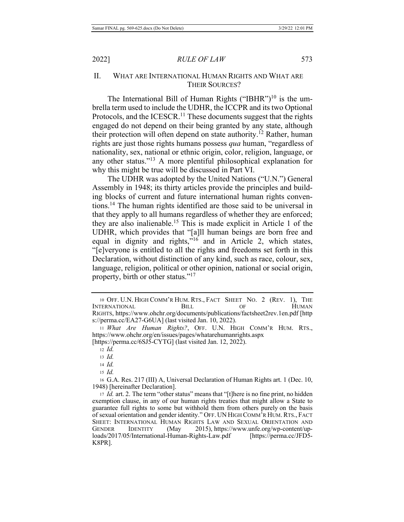# II. WHAT ARE INTERNATIONAL HUMAN RIGHTS AND WHAT ARE THEIR SOURCES?

The International Bill of Human Rights ("IBHR")<sup>10</sup> is the umbrella term used to include the UDHR, the ICCPR and its two Optional Protocols, and the ICESCR.<sup>11</sup> These documents suggest that the rights engaged do not depend on their being granted by any state, although their protection will often depend on state authority.<sup>12</sup> Rather, human rights are just those rights humans possess *qua* human, "regardless of nationality, sex, national or ethnic origin, color, religion, language, or any other status."<sup>13</sup> A more plentiful philosophical explanation for why this might be true will be discussed in Part VI.

The UDHR was adopted by the United Nations ("U.N.") General Assembly in 1948; its thirty articles provide the principles and building blocks of current and future international human rights conventions.<sup>14</sup> The human rights identified are those said to be universal in that they apply to all humans regardless of whether they are enforced; they are also inalienable.<sup>15</sup> This is made explicit in Article 1 of the UDHR, which provides that "[a]ll human beings are born free and equal in dignity and rights,"<sup>16</sup> and in Article 2, which states, "[e]veryone is entitled to all the rights and freedoms set forth in this Declaration, without distinction of any kind, such as race, colour, sex, language, religion, political or other opinion, national or social origin, property, birth or other status."<sup>17</sup>

<sup>10</sup> OFF. U.N. HIGH COMM'R HUM. RTS., FACT SHEET NO. 2 (REV. 1), THE INTERNATIONAL BILL OF HUMAN RIGHTS, https://www.ohchr.org/documents/publications/factsheet2rev.1en.pdf [http s://perma.cc/EA27-G6UA] (last visited Jan. 10, 2022).

<sup>&</sup>lt;sup>11</sup> What Are Human Rights?, OFF. U.N. HIGH COMM'R HUM. RTS., https://www.ohchr.org/en/issues/pages/whatarehumanrights.aspx

<sup>[</sup>https://perma.cc/6SJ5-CYTG] (last visited Jan. 12, 2022).

 $12$  *Id.* 

 $13$  *Id.* 

<sup>14</sup> *Id.* 

 $15$  *Id.* 

<sup>16</sup> G.A. Res. 217 (III) A, Universal Declaration of Human Rights art. 1 (Dec. 10, 1948) [hereinafter Declaration].

<sup>17</sup> *Id.* art. 2. The term "other status" means that "[t]here is no fine print, no hidden exemption clause, in any of our human rights treaties that might allow a State to guarantee full rights to some but withhold them from others purely on the basis of sexual orientation and gender identity." OFF. UN HIGH COMM'R HUM. RTS., FACT SHEET: INTERNATIONAL HUMAN RIGHTS LAW AND SEXUAL ORIENTATION AND GENDER IDENTITY (May 2015), https://www.unfe.org/wp-content/uploads/2017/05/International-Human-Rights-Law.pdf [https:/ /perma.cc/JFD5-K8PR].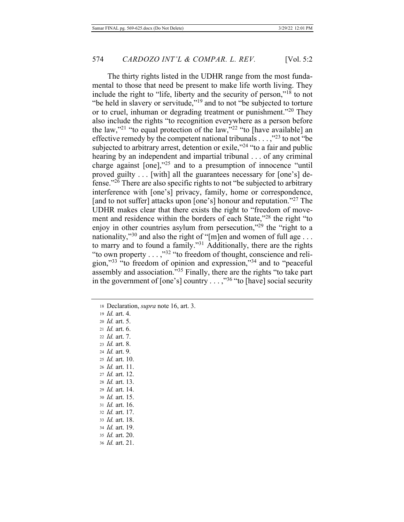The thirty rights listed in the UDHR range from the most fundamental to those that need be present to make life worth living. They include the right to "life, liberty and the security of person,"<sup>18</sup> to not "be held in slavery or servitude,"<sup>19</sup> and to not "be subjected to torture or to cruel, inhuman or degrading treatment or punishment."<sup>20</sup> They also include the rights "to recognition everywhere as a person before the law,"<sup>21</sup> "to equal protection of the law,"<sup>22</sup> "to [have available] an effective remedy by the competent national tribunals  $\dots$ ,"<sup>23</sup> to not "be subjected to arbitrary arrest, detention or exile,"<sup>24</sup> "to a fair and public hearing by an independent and impartial tribunal  $\ldots$  of any criminal charge against  $[one]$ ,"<sup>25</sup> and to a presumption of innocence "until" proved guilty . . [with] all the guarantees necessary for [one's] defense." $26$  There are also specific rights to not "be subjected to arbitrary interference with [one's] privacy, family, home or correspondence, [and to not suffer] attacks upon [one's] honour and reputation."<sup>27</sup> The UDHR makes clear that there exists the right to "freedom of movement and residence within the borders of each State,"<sup>28</sup> the right "to enjoy in other countries asylum from persecution,"<sup>29</sup> the "right to a nationality,"<sup>30</sup> and also the right of "[m]en and women of full age . . . to marry and to found a family."<sup>31</sup> Additionally, there are the rights "to own property  $\dots$ ,"<sup>32</sup> "to freedom of thought, conscience and religion," $33$  "to freedom of opinion and expression," $34$  and to "peaceful" assembly and association.<sup>535</sup> Finally, there are the rights "to take part in the government of [one's] country  $\dots$ ,"<sup>36</sup> "to [have] social security

18 Declaration, *supra* note 16, art. 3.

19 *Id.* art. 4.

20 *Id.* art. 5. 21 *Id.* art. 6.

22 *Id.* art. 7.

- 23 *Id.* art. 8.
- 24 *Id.* art. 9.
- 25 *Id.* art. 10.
- 26 *Id.* art. 11.
- 27 *Id.* art. 12.
- 28 *Id.* art. 13.
- 29 *Id.* art. 14.
- 30 *Id.* art. 15.
- 31 *Id.* art. 16.
- 32 *Id.* art. 17.
- 33 *Id.* art. 18.
- 34 *Id.* art. 19.
- 35 *Id.* art. 20.
- 36 *Id.* art. 21.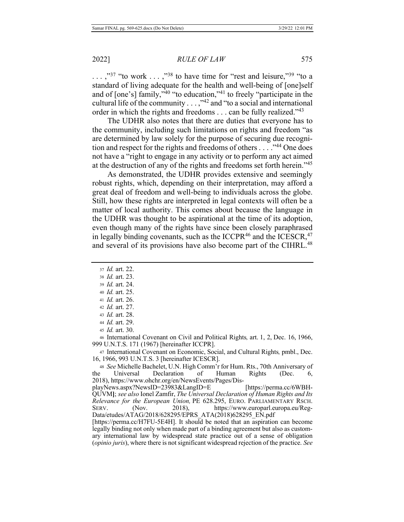$\ldots$ ,"<sup>37</sup> "to work  $\ldots$ ,"<sup>38</sup> to have time for "rest and leisure,"<sup>39</sup> "to a standard of living adequate for the health and well-being of [one]self and of  $[one's]$  family,"<sup>40</sup> "to education,"<sup>41</sup> to freely "participate in the cultural life of the community  $\ldots$ ,"<sup>42</sup> and "to a social and international order in which the rights and freedoms . . . can be fully realized." $43$ 

The UDHR also notes that there are duties that everyone has to the community, including such limitations on rights and freedom "as are determined by law solely for the purpose of securing due recognition and respect for the rights and freedoms of others  $\dots$   $\cdot$ <sup>44</sup> One does not have a "right to engage in any activity or to perform any act aimed at the destruction of any of the rights and freedoms set forth herein."<sup>45</sup>

As demonstrated, the UDHR provides extensive and seemingly robust rights, which, depending on their interpretation, may afford a great deal of freedom and well-being to individuals across the globe. Still, how these rights are interpreted in legal contexts will often be a matter of local authority. This comes about because the language in the UDHR was thought to be aspirational at the time of its adoption, even though many of the rights have since been closely paraphrased in legally binding covenants, such as the ICCPR<sup>46</sup> and the ICESCR,  $47$ and several of its provisions have also become part of the CIHRL.<sup>48</sup>

- 37 *Id.* art. 22.
- 38 *Id.* art. 23.
- 39 *Id.* art. 24.
- 40 *Id.* art. 25.
- 41 *Id.* art. 26.
- 42 *Id.* art. 27.
- 43 *Id.* art. 28.
- 44 *Id.* art. 29. 45 *Id.* art. 30.

46 International Covenant on Civil and Political Rights, art. 1, 2, Dec. 16, 1966, 999 U.N.T.S. 171 (1967) [hereinafter ICCPR].

47 International Covenant on Economic, Social, and Cultural Rights, pmbl., Dec. 16, 1966, 993 U.N.T.S. 3 [hereinafter ICESCR].

48 See Michelle Bachelet, U.N. High Comm'r for Hum. Rts., 70th Anniversary of the Universal Declaration of Human Rights (Dec. 6, 2018), https://www.ohchr.org/en/NewsEvents/Pages/Dis-

playNews.aspx?NewsID=23983&LangID=E /perma.cc/6WBH-QUVM]; see also Ionel Zamfir, The Universal Declaration of Human Rights and Its Relevance for the European Union, PE 628.295, EURO. PARLIAMENTARY RSCH. SERV. (Nov. 2018), /www.europarl.europa.eu/Reg-Data/etudes/ATAG/2018/628295/EPRS ATA(2018)628295 EN.pdf

[https://perma.cc/H7FU-5E4H]. It should be noted that an aspiration can become legally binding not only when made part of a binding agreement but also as customary international law by widespread state practice out of a sense of obligation *(opinio juris)*, where there is not significant widespread rejection of the practice. See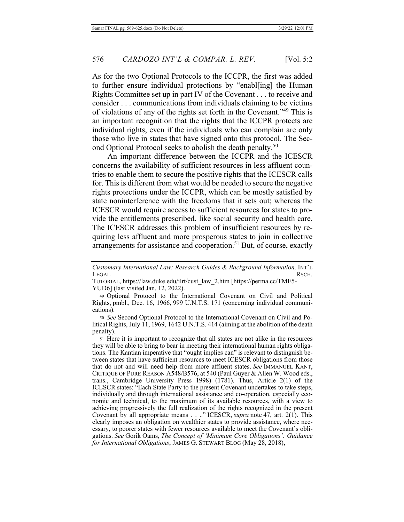As for the two Optional Protocols to the ICCPR, the first was added to further ensure individual protections by "enabl[ing] the Human Rights Committee set up in part IV of the Covenant  $\dots$  to receive and consider . . . communications from individuals claiming to be victims of violations of any of the rights set forth in the Covenant."<sup>49</sup> This is an important recognition that the rights that the ICCPR protects are individual rights, even if the individuals who can complain are only those who live in states that have signed onto this protocol. The Second Optional Protocol seeks to abolish the death penalty.<sup>50</sup>

An important difference between the ICCPR and the ICESCR concerns the availability of sufficient resources in less affluent countries to enable them to secure the positive rights that the ICESCR calls for. This is different from what would be needed to secure the negative rights protections under the ICCPR, which can be mostly satisfied by state noninterference with the freedoms that it sets out; whereas the ICESCR would require access to sufficient resources for states to provide the entitlements prescribed, like social security and health care. The ICESCR addresses this problem of insufficient resources by requiring less affluent and more prosperous states to join in collective arrangements for assistance and cooperation.<sup>51</sup> But, of course, exactly

Customary International Law: Research Guides & Background Information, INT'L LEGAL RSCH.

50 See Second Optional Protocol to the International Covenant on Civil and Political Rights, July  $\overline{11}$ , 1969, 1642 U.N.T.S. 414 (aiming at the abolition of the death penalty).

51 Here it is important to recognize that all states are not alike in the resources they will be able to bring to bear in meeting their international human rights obligations. The Kantian imperative that "ought implies can" is relevant to distinguish between states that have sufficient resources to meet ICESCR obligations from those that do not and will need help from more affluent states. See IMMANUEL KANT, CRITIQUE OF PURE REASON A548/B576, at 540 (Paul Guyer & Allen W. Wood eds., trans., Cambridge University Press 1998) (1781). Thus, Article  $2(1)$  of the ICESCR states: "Each State Party to the present Covenant undertakes to take steps, individually and through international assistance and co-operation, especially economic and technical, to the maximum of its available resources, with a view to achieving progressively the full realization of the rights recognized in the present Covenant by all appropriate means . . .." ICESCR, *supra* note 47, art. 2(1). This clearly imposes an obligation on wealthier states to provide assistance, where necessary, to poorer states with fewer resources available to meet the Covenant's obligations. See Gorik Oams, The Concept of 'Minimum Core Obligations': Guidance for International Obligations, JAMES G. STEWART BLOG (May 28, 2018),

TUTORIAL, https://law.duke.edu/ilrt/cust\_law\_2.htm [https://perma.cc/TME5- $YUD6$ ] (last visited Jan. 12, 2022).

<sup>49</sup> Optional Protocol to the International Covenant on Civil and Political Rights, pmbl., Dec. 16, 1966, 999 U.N.T.S. 171 (concerning individual communications).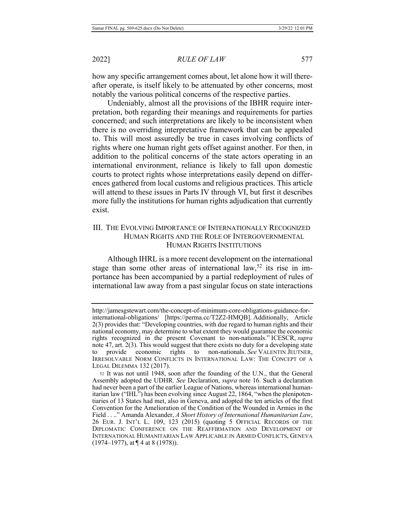how any specific arrangement comes about, let alone how it will thereafter operate, is itself likely to be attenuated by other concerns, most notably the various political concerns of the respective parties.

Undeniably, almost all the provisions of the IBHR require interpretation, both regarding their meanings and requirements for parties concerned; and such interpretations are likely to be inconsistent when there is no overriding interpretative framework that can be appealed to. This will most assuredly be true in cases involving conflicts of rights where one human right gets offset against another. For then, in addition to the political concerns of the state actors operating in an international environment, reliance is likely to fall upon domestic courts to protect rights whose interpretations easily depend on differences gathered from local customs and religious practices. This article will attend to these issues in Parts IV through VI, but first it describes more fully the institutions for human rights adjudication that currently exist.

# III. THE EVOLVING IMPORTANCE OF INTERNATIONALLY RECOGNIZED HUMAN RIGHTS AND THE ROLE OF INTERGOVERNMENTAL HUMAN RIGHTS INSTITUTIONS

Although IHRL is a more recent development on the international stage than some other areas of international law,<sup>52</sup> its rise in importance has been accompanied by a partial redeployment of rules of international law away from a past singular focus on state interactions

http://jamesgstewart.com/the-concept-of-minimum-core-obligations-guidance-forinternational-obligations/ [https://perma.cc/T2Z2-HMQB]. Additionally, Article  $2(3)$  provides that: "Developing countries, with due regard to human rights and their national economy, may determine to what extent they would guarantee the economic rights recognized in the present Covenant to non-nationals." ICESCR, supra note 47, art.  $2(3)$ . This would suggest that there exists no duty for a developing state to provide economic rights to non-nationals. See VALENTIN JEUTNER, IRRESOLVABLE NORM CONFLICTS IN INTERNATIONAL LAW: THE CONCEPT OF A LEGAL DILEMMA 132 (2017).

<sup>52</sup> It was not until 1948, soon after the founding of the U.N., that the General Assembly adopted the UDHR. See Declaration, *supra* note 16. Such a declaration had never been a part of the earlier League of Nations, whereas international humanitarian law ("IHL") has been evolving since August 22, 1864, "when the plenipotentiaries of 13 States had met, also in Geneva, and adopted the ten articles of the first Convention for the Amelioration of the Condition of the Wounded in Armies in the Field . . .." Amanda Alexander, A Short History of International Humanitarian Law, 26 EUR. J. INT'L L. 109, 123 (2015) (quoting 5 OFFICIAL RECORDS OF THE DIPLOMATIC CONFERENCE ON THE REAFFIRMATION AND DEVELOPMENT OF INTERNATIONAL HUMANITARIAN LAW APPLICABLE IN ARMED CONFLICTS, GENEVA  $(1974-1977)$ , at  $\P$  4 at 8 (1978)).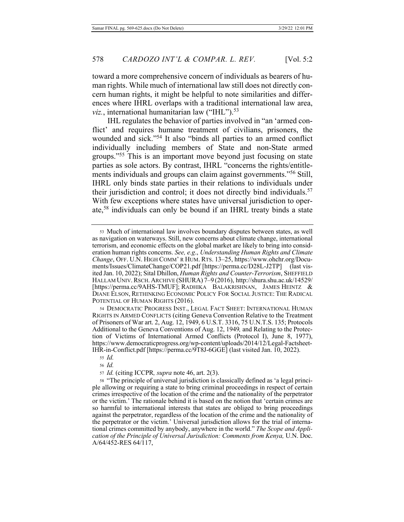toward a more comprehensive concern of individuals as bearers of human rights. While much of international law still does not directly concern human rights, it might be helpful to note similarities and differences where IHRL overlaps with a traditional international law area, viz., international humanitarian law ("IHL").<sup>53</sup>

IHL regulates the behavior of parties involved in "an 'armed conflict' and requires humane treatment of civilians, prisoners, the wounded and sick."<sup>54</sup> It also "binds all parties to an armed conflict individually including members of State and non-State armed groups."<sup>55</sup> This is an important move beyond just focusing on state parties as sole actors. By contrast, IHRL "concerns the rights/entitlements individuals and groups can claim against governments."<sup>56</sup> Still, IHRL only binds state parties in their relations to individuals under their jurisdiction and control; it does not directly bind individuals.<sup>57</sup> With few exceptions where states have universal jurisdiction to operate,<sup>58</sup> individuals can only be bound if an IHRL treaty binds a state

54 DEMOCRATIC PROGRESS INST., LEGAL FACT SHEET: INTERNATIONAL HUMAN RIGHTS IN ARMED CONFLICTS (citing Geneva Convention Relative to the Treatment of Prisoners of War art. 2, Aug. 12, 1949, 6 U.S.T. 3316, 75 U.N.T.S. 135; Protocols Additional to the Geneva Conventions of Aug. 12, 1949, and Relating to the Protection of Victims of International Armed Conflicts (Protocol I), June 8, 1977), https://www.democraticprogress.org/wp-content/uploads/2014/12/Legal-Factsheet-IHR-in-Conflict.pdf [https://perma.cc/9T8J-6GGE] (last visited Jan.  $10, 2022$ ).

56 *Id.* 

*s*7 *Id.* (citing ICCPR, *supra* note 46, art. 2(3).

ss "The principle of universal jurisdiction is classically defined as 'a legal principle allowing or requiring a state to bring criminal proceedings in respect of certain erimes irrespective of the location of the crime and the nationality of the perpetrator or the victim.' The rationale behind it is based on the notion that 'certain crimes are so harmful to international interests that states are obliged to bring proceedings against the perpetrator, regardless of the location of the crime and the nationality of the perpetrator or the victim.' Universal jurisdiction allows for the trial of international crimes committed by anybody, anywhere in the world." The Scope and Application of the Principle of Universal Jurisdiction: Comments from Kenya, U.N. Doc. A/64/452-RES 64/117,

<sup>53</sup> Much of international law involves boundary disputes between states, as well as navigation on waterways. Still, new concerns about climate change, international terrorism, and economic effects on the global market are likely to bring into consideration human rights concerns. See, e.g., Understanding Human Rights and Climate Change, OFF. U.N. HIGH COMM' R HUM. RTS. 13-25, https://www.ohchr.org/Documents/Issues/ClimateChange/COP21.pdf [https://perma.cc/D28L-J2TP] (last visited Jan. 10, 2022); Sital Dhillon, *Human Rights and Counter-Terrorism*, SHEFFIELD HALLAM UNIV. RSCH. ARCHIVE (SHURA) 7–9 (2016), http://shura.shu.ac.uk/14529/ [https://perma.cc/9AHS-TMUF]; RADHIKA BALAKRISHNAN, JAMES HEINTZ & DIANE ELSON, RETHINKING ECONOMIC POLICY FOR SOCIAL JUSTICE: THE RADICAL POTENTIAL OF HUMAN RIGHTS (2016).

*ss Id.*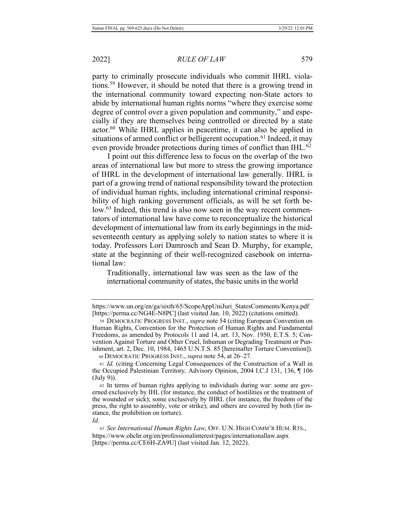party to criminally prosecute individuals who commit IHRL violations.<sup>59</sup> However, it should be noted that there is a growing trend in the international community toward expecting non-State actors to abide by international human rights norms "where they exercise some degree of control over a given population and community," and especially if they are themselves being controlled or directed by a state actor.<sup>60</sup> While IHRL applies in peacetime, it can also be applied in situations of armed conflict or belligerent occupation.<sup>61</sup> Indeed, it may even provide broader protections during times of conflict than IHL.<sup>62</sup>

I point out this difference less to focus on the overlap of the two areas of international law but more to stress the growing importance of IHRL in the development of international law generally. IHRL is part of a growing trend of national responsibility toward the protection of individual human rights, including international criminal responsibility of high ranking government officials, as will be set forth below.<sup>63</sup> Indeed, this trend is also now seen in the way recent commentators of international law have come to reconceptualize the historical development of international law from its early beginnings in the midseventeenth century as applying solely to nation states to where it is today. Professors Lori Damrosch and Sean D. Murphy, for example, state at the beginning of their well-recognized casebook on international law:

Traditionally, international law was seen as the law of the international community of states, the basic units in the world

https://www.un.org/en/ga/sixth/65/ScopeAppUniJuri StatesComments/Kenya.pdf [https://perma.cc/NG4E-N8PC] (last visited Jan. 10, 2022) (citations omitted).

<sup>59</sup> DEMOCRATIC PROGRESS INST., *supra* note 54 (citing European Convention on Human Rights, Convention for the Protection of Human Rights and Fundamental Freedoms, as amended by Protocols 11 and 14, art. 13, Nov. 1950, E.T.S. 5; Convention Against Torture and Other Cruel, Inhuman or Degrading Treatment or Punishment, art. 2, Dec. 10, 1984, 1465 U.N.T.S. 85 [hereinafter Torture Convention]). 60 DEMOCRATIC PROGRESS INST., *supra* note 54, at 26–27.

<sup>61</sup> *Id.* (citing Concerning Legal Consequences of the Construction of a Wall in the Occupied Palestinian Territory, Advisory Opinion, 2004 I.C.J 131, 136, 1106  $(\text{July } 9)$ ).

<sup>62</sup> In terms of human rights applying to individuals during war: some are governed exclusively by IHL (for instance, the conduct of hostilities or the treatment of the wounded or sick); some exclusively by IHRL (for instance, the freedom of the press, the right to assembly, vote or strike); and others are covered by both (for instance, the prohibition on torture).

*<sup>&</sup>amp;*

<sup>63</sup> See International Human Rights Law, OFF. U.N. HIGH COMM'R HUM. RTS., https://www.ohchr.org/en/professionalinterest/pages/internationallaw.aspx [https://perma.cc/CE6H-ZA9U] (last visited Jan. 12, 2022).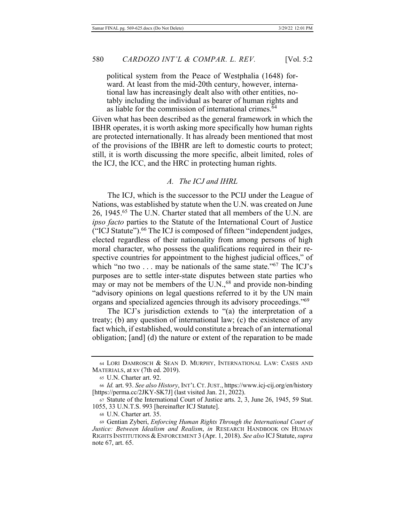political system from the Peace of Westphalia (1648) forward. At least from the mid-20th century, however, international law has increasingly dealt also with other entities, notably including the individual as bearer of human rights and as liable for the commission of international crimes.<sup>64</sup>

Given what has been described as the general framework in which the IBHR operates, it is worth asking more specifically how human rights are protected internationally. It has already been mentioned that most of the provisions of the IBHR are left to domestic courts to protect; still, it is worth discussing the more specific, albeit limited, roles of the ICJ, the ICC, and the HRC in protecting human rights.

#### A. The ICJ and IHRL

The ICJ, which is the successor to the PCIJ under the League of Nations, was established by statute when the U.N. was created on June 26, 1945.<sup>65</sup> The U.N. Charter stated that all members of the U.N. are *ipso facto* parties to the Statute of the International Court of Justice ("ICJ Statute").<sup>66</sup> The ICJ is composed of fifteen "independent judges, elected regardless of their nationality from among persons of high moral character, who possess the qualifications required in their respective countries for appointment to the highest judicial offices," of which "no two  $\dots$  may be nationals of the same state."<sup>67</sup> The ICJ's purposes are to settle inter-state disputes between state parties who may or may not be members of the U.N.,  $^{68}$  and provide non-binding "advisory opinions on legal questions referred to it by the UN main organs and specialized agencies through its advisory proceedings."<sup>69</sup>

The ICJ's jurisdiction extends to "(a) the interpretation of a treaty; (b) any question of international law; (c) the existence of any fact which, if established, would constitute a breach of an international obligation; [and] (d) the nature or extent of the reparation to be made

<sup>64</sup> LORI DAMROSCH & SEAN D. MURPHY, INTERNATIONAL LAW: CASES AND MATERIALS, at xv (7th ed. 2019).

<sup>65</sup> U.N. Charter art. 92.

<sup>66</sup> *Id.* art. 93. See also History, INT'L CT. JUST., https://www.icj-cij.org/en/history [https://perma.cc/2JKY-SK7J] (last visited Jan. 21, 2022).

<sup>67</sup> Statute of the International Court of Justice arts. 2, 3, June 26, 1945, 59 Stat. 1055, 33 U.N.T.S. 993 [hereinafter ICJ Statute].

<sup>68</sup> U.N. Charter art. 35.

<sup>69</sup> Gentian Zyberi, *Enforcing Human Rights Through the International Court of Justice: Between Idealism and Realism, in RESEARCH HANDBOOK ON HUMAN* RIGHTS INSTITUTIONS & ENFORCEMENT 3 (Apr. 1, 2018). See also ICJ Statute, supra note 67, art. 65.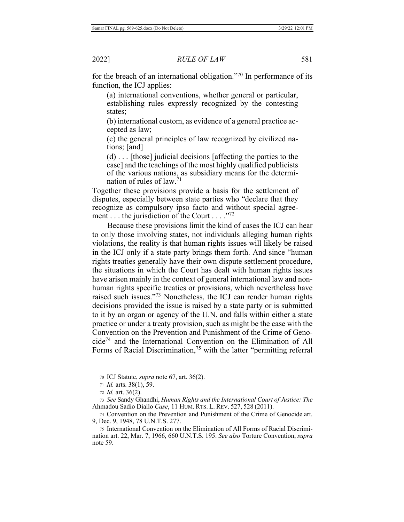for the breach of an international obligation."<sup>70</sup> In performance of its function, the ICJ applies:

(a) international conventions, whether general or particular, establishing rules expressly recognized by the contesting states;

(b) international custom, as evidence of a general practice accepted as law;

(c) the general principles of law recognized by civilized nations;  $[and]$ 

 $(d) \ldots$  [those] judicial decisions [affecting the parties to the case] and the teachings of the most highly qualified publicists of the various nations, as subsidiary means for the determination of rules of law.<sup>71</sup>

Together these provisions provide a basis for the settlement of disputes, especially between state parties who "declare that they recognize as compulsory ipso facto and without special agreement . . . the jurisdiction of the Court . . . . "72"

Because these provisions limit the kind of cases the ICJ can hear to only those involving states, not individuals alleging human rights violations, the reality is that human rights issues will likely be raised in the ICJ only if a state party brings them forth. And since "human" rights treaties generally have their own dispute settlement procedure, the situations in which the Court has dealt with human rights issues have arisen mainly in the context of general international law and nonhuman rights specific treaties or provisions, which nevertheless have raised such issues."<sup>73</sup> Nonetheless, the ICJ can render human rights decisions provided the issue is raised by a state party or is submitted to it by an organ or agency of the U.N. and falls within either a state practice or under a treaty provision, such as might be the case with the Convention on the Prevention and Punishment of the Crime of Geno $cide^{74}$  and the International Convention on the Elimination of All Forms of Racial Discrimination,<sup>75</sup> with the latter "permitting referral

<sup>70</sup> ICJ Statute, *supra* note 67, art. 36(2).

<sup>71</sup> *Id.* arts. 38(1), 59.

<sup>72</sup> *Id.* art. 36(2).

<sup>73</sup> See Sandy Ghandhi, *Human Rights and the International Court of Justice: The* Ahmadou Sadio Diallo *Case*, 11 HUM. RTS. L. REV. 527, 528 (2011).

<sup>74</sup> Convention on the Prevention and Punishment of the Crime of Genocide art. 9, Dec. 9, 1948, 78 U.N.T.S. 277.

<sup>75</sup> International Convention on the Elimination of All Forms of Racial Discrimination art. 22, Mar. 7, 1966, 660 U.N.T.S. 195. See also Torture Convention, supra note 59.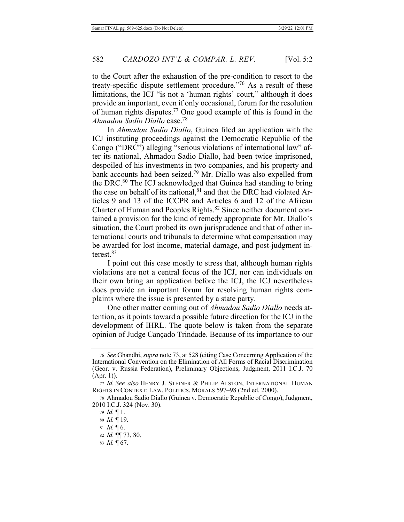to the Court after the exhaustion of the pre-condition to resort to the treaty-specific dispute settlement procedure."<sup>76</sup> As a result of these limitations, the ICJ "is not a 'human rights' court," although it does provide an important, even if only occasional, forum for the resolution of human rights disputes.<sup>77</sup> One good example of this is found in the  $A$ hmadou Sadio Diallo case.<sup>78</sup>

In *Ahmadou Sadio Diallo*, Guinea filed an application with the ICJ instituting proceedings against the Democratic Republic of the Congo ("DRC") alleging "serious violations of international law" after its national, Ahmadou Sadio Diallo, had been twice imprisoned, despoiled of his investments in two companies, and his property and bank accounts had been seized.<sup>79</sup> Mr. Diallo was also expelled from the DRC.<sup>80</sup> The ICJ acknowledged that Guinea had standing to bring the case on behalf of its national,  $81$  and that the DRC had violated Articles 9 and 13 of the ICCPR and Articles 6 and 12 of the African Charter of Human and Peoples Rights.<sup>82</sup> Since neither document contained a provision for the kind of remedy appropriate for Mr. Diallo's situation, the Court probed its own jurisprudence and that of other international courts and tribunals to determine what compensation may be awarded for lost income, material damage, and post-judgment interest. $83$ 

I point out this case mostly to stress that, although human rights violations are not a central focus of the ICJ, nor can individuals on their own bring an application before the ICJ, the ICJ nevertheless does provide an important forum for resolving human rights complaints where the issue is presented by a state party.

One other matter coming out of *Ahmadou Sadio Diallo* needs attention, as it points toward a possible future direction for the ICJ in the development of IHRL. The quote below is taken from the separate opinion of Judge Cançado Trindade. Because of its importance to our

<sup>&</sup>lt;sup>76</sup> See Ghandhi, supra note 73, at 528 (citing Case Concerning Application of the International Convention on the Elimination of All Forms of Racial Discrimination (Geor. v. Russia Federation), Preliminary Objections, Judgment, 2011 I.C.J. 70  $(Apr. 1)$ ).

<sup>77</sup> Id. See also HENRY J. STEINER & PHILIP ALSTON, INTERNATIONAL HUMAN RIGHTS IN CONTEXT: LAW, POLITICS, MORALS 597-98 (2nd ed. 2000).

<sup>78</sup> Ahmadou Sadio Diallo (Guinea v. Democratic Republic of Congo), Judgment, 2010 I.C.J. 324 (Nov. 30).

<sup>79</sup> *Id.* 1.

<sup>80</sup> *Id.* 19.

<sup>81</sup> *Id.*  $\llbracket 6$ .

<sup>82</sup> *Id.* **[1]** 73, 80.

<sup>83</sup> *Id.* 167.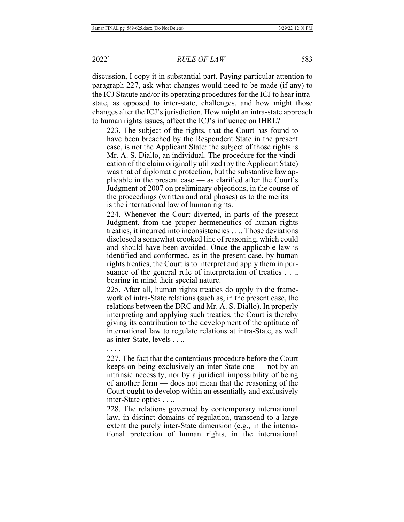discussion, I copy it in substantial part. Paying particular attention to paragraph 227, ask what changes would need to be made (if any) to the ICJ Statute and/or its operating procedures for the ICJ to hear intrastate, as opposed to inter-state, challenges, and how might those changes alter the ICJ's jurisdiction. How might an intra-state approach to human rights issues, affect the ICJ's influence on IHRL?

223. The subject of the rights, that the Court has found to have been breached by the Respondent State in the present case, is not the Applicant State: the subject of those rights is Mr. A. S. Diallo, an individual. The procedure for the vindication of the claim originally utilized (by the Applicant State) was that of diplomatic protection, but the substantive law applicable in the present case  $-$  as clarified after the Court's Judgment of 2007 on preliminary objections, in the course of the proceedings (written and oral phases) as to the merits  $$ is the international law of human rights.

224. Whenever the Court diverted, in parts of the present Judgment, from the proper hermeneutics of human rights treaties, it incurred into inconsistencies  $\dots$ . Those deviations disclosed a somewhat crooked line of reasoning, which could and should have been avoided. Once the applicable law is identified and conformed, as in the present case, by human rights treaties, the Court is to interpret and apply them in pursuance of the general rule of interpretation of treaties  $\dots$ , bearing in mind their special nature.

225. After all, human rights treaties do apply in the framework of intra-State relations (such as, in the present case, the relations between the DRC and Mr. A. S. Diallo). In properly interpreting and applying such treaties, the Court is thereby giving its contribution to the development of the aptitude of international law to regulate relations at intra-State, as well as inter-State, levels . . ..

. . . .

227. The fact that the contentious procedure before the Court keeps on being exclusively an inter-State one — not by an intrinsic necessity, nor by a juridical impossibility of being of another form  $-$  does not mean that the reasoning of the Court ought to develop within an essentially and exclusively  $inter-State$  optics  $\dots$ 

228. The relations governed by contemporary international law, in distinct domains of regulation, transcend to a large extent the purely inter-State dimension (e.g., in the international protection of human rights, in the international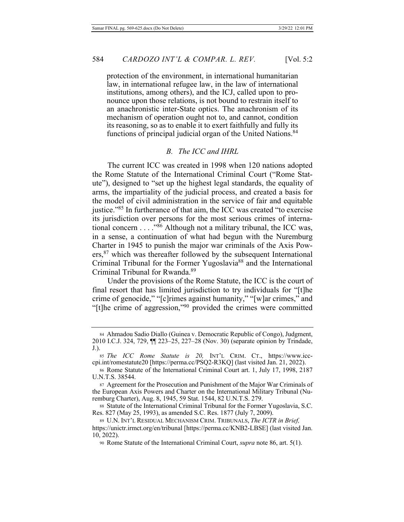protection of the environment, in international humanitarian law, in international refugee law, in the law of international institutions, among others), and the ICJ, called upon to pronounce upon those relations, is not bound to restrain itself to an anachronistic inter-State optics. The anachronism of its mechanism of operation ought not to, and cannot, condition its reasoning, so as to enable it to exert faithfully and fully its functions of principal judicial organ of the United Nations.<sup>84</sup>

## B. The ICC and IHRL

The current ICC was created in 1998 when 120 nations adopted the Rome Statute of the International Criminal Court ("Rome Statute"), designed to "set up the highest legal standards, the equality of arms, the impartiality of the judicial process, and created a basis for the model of civil administration in the service of fair and equitable justice."<sup>85</sup> In furtherance of that aim, the ICC was created "to exercise its jurisdiction over persons for the most serious crimes of international concern . . . . "86 Although not a military tribunal, the ICC was, in a sense, a continuation of what had begun with the Nuremburg Charter in 1945 to punish the major war criminals of the Axis Pow- $\text{ers},^{87}$  which was thereafter followed by the subsequent International Criminal Tribunal for the Former Yugoslavia<sup>88</sup> and the International Criminal Tribunal for Rwanda.<sup>89</sup>

Under the provisions of the Rome Statute, the ICC is the court of final resort that has limited jurisdiction to try individuals for "[t]he crime of genocide," "[c]rimes against humanity," "[w]ar crimes," and "[t]he crime of aggression,"<sup>90</sup> provided the crimes were committed

<sup>84</sup> Ahmadou Sadio Diallo (Guinea v. Democratic Republic of Congo), Judgment, 2010 I.C.J. 324, 729,  $\P$  223-25, 227-28 (Nov. 30) (separate opinion by Trindade,  $J.$ ).

<sup>85</sup> The ICC Rome Statute is 20, INT'L CRIM. CT., https://www.icccpi.int/romestatute20 [https://perma.cc/PSQ2-R3KQ] (last visited Jan. 21, 2022).

<sup>86</sup> Rome Statute of the International Criminal Court art. 1, July 17, 1998, 2187 U.N.T.S. 38544.

<sup>87</sup> Agreement for the Prosecution and Punishment of the Major War Criminals of the European Axis Powers and Charter on the International Military Tribunal (Nuremburg Charter), Aug. 8, 1945, 59 Stat. 1544, 82 U.N.T.S. 279.

ss Statute of the International Criminal Tribunal for the Former Yugoslavia, S.C. Res. 827 (May 25, 1993), as amended S.C. Res. 1877 (July 7, 2009).

<sup>89</sup> U.N. INT'L RESIDUAL MECHANISM CRIM. TRIBUNALS, *The ICTR in Brief*, https://unictr.irmct.org/en/tribunal [https://perma.cc/KNB2-LBSE] (last visited Jan.  $10, 2022$ ).

<sup>90</sup> Rome Statute of the International Criminal Court, *supra* note 86, art. 5(1).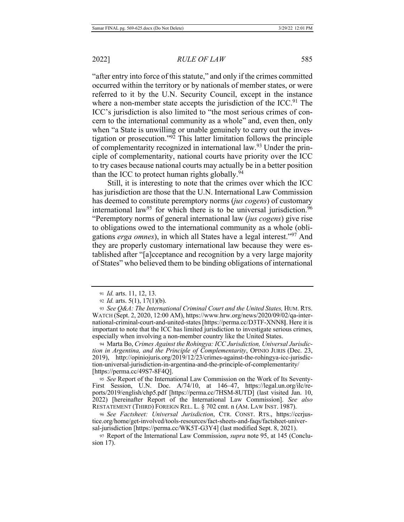"after entry into force of this statute," and only if the crimes committed occurred within the territory or by nationals of member states, or were referred to it by the U.N. Security Council, except in the instance where a non-member state accepts the jurisdiction of the ICC.<sup>91</sup> The ICC's jurisdiction is also limited to "the most serious crimes of concern to the international community as a whole" and, even then, only when "a State is unwilling or unable genuinely to carry out the investigation or prosecution." $92$  This latter limitation follows the principle of complementarity recognized in international law.<sup>93</sup> Under the principle of complementarity, national courts have priority over the ICC to try cases because national courts may actually be in a better position than the ICC to protect human rights globally.<sup>94</sup>

Still, it is interesting to note that the crimes over which the ICC has jurisdiction are those that the U.N. International Law Commission has deemed to constitute peremptory norms (jus cogens) of customary international law<sup>95</sup> for which there is to be universal jurisdiction.<sup>96</sup> "Peremptory norms of general international law (jus cogens) give rise to obligations owed to the international community as a whole (obligations erga omnes), in which all States have a legal interest."<sup>97</sup> And they are properly customary international law because they were established after "[a]cceptance and recognition by a very large majority of States" who believed them to be binding obligations of international

94 Marta Bo, Crimes Against the Rohingya: ICC Jurisdiction, Universal Jurisdic*fion in Argentina, and the Principle of Complementarity, OPINIO JURIS (Dec. 23,* 2019), http://opiniojuris.org/2019/12/23/crimes-against-the-rohingya-icc-jurisdiction-universal-jurisdiction-in-argentina-and-the-principle-of-complementarity/ [https://perma.cc/49S7-8F4Q].

95 See Report of the International Law Commission on the Work of Its Seventy-First Session, U.N. Doc. A/74/10, at 146-47, https://legal.un.org/ilc/reports/2019/english/chp5.pdf [https://perma.cc/7HSM-8UTD] (last visited Jan. 10, 2022) [hereinafter Report of the International Law Commission]. See also RESTATEMENT (THIRD) FOREIGN REL. L. § 702 cmt. n (AM. LAW INST. 1987).

96 See Factsheet: Universal Jurisdiction, CTR. CONST. RTS., https://ccrjustice.org/home/get-involved/tools-resources/fact-sheets-and-faqs/factsheet-universal-jurisdiction [https://perma.cc/WK5T-G3Y4] (last modified Sept. 8, 2021).

97 Report of the International Law Commission, *supra* note 95, at 145 (Conclusion 17).

<sup>91</sup> *Id.* arts. 11, 12, 13.

 $92$  *Id.* arts.  $5(1)$ ,  $17(1)(b)$ .

<sup>93</sup> See Q&A: The International Criminal Court and the United States, HUM. RTS. WATCH (Sept. 2, 2020, 12:00 AM), https://www.hrw.org/news/2020/09/02/qa-international-criminal-court-and-united-states [https://perma.cc/D3TF-XNN8]. Here it is important to note that the ICC has limited jurisdiction to investigate serious crimes, especially when involving a non-member country like the United States.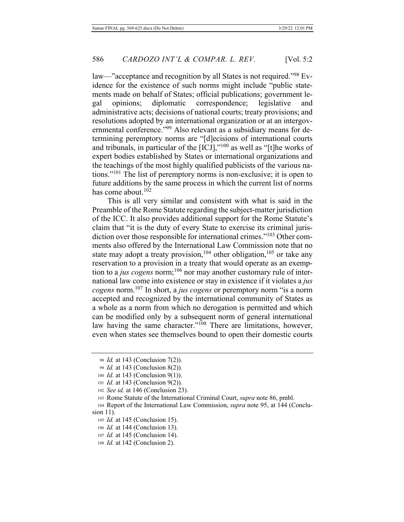law—"acceptance and recognition by all States is not required."<sup>98</sup> Evidence for the existence of such norms might include "public statements made on behalf of States; official publications; government legal opinions; diplomatic correspondence; legislative and administrative acts; decisions of national courts; treaty provisions; and resolutions adopted by an international organization or at an intergovernmental conference."<sup>99</sup> Also relevant as a subsidiary means for determining peremptory norms are "[d]ecisions of international courts and tribunals, in particular of the  $[ICJ]$ ,"<sup>100</sup> as well as "[t]he works of expert bodies established by States or international organizations and the teachings of the most highly qualified publicists of the various nations."<sup>101</sup> The list of peremptory norms is non-exclusive; it is open to future additions by the same process in which the current list of norms has come about.<sup>102</sup>

This is all very similar and consistent with what is said in the Preamble of the Rome Statute regarding the subject-matter jurisdiction of the ICC. It also provides additional support for the Rome Statute's claim that "it is the duty of every State to exercise its criminal jurisdiction over those responsible for international crimes."<sup>103</sup> Other comments also offered by the International Law Commission note that no state may adopt a treaty provision,  $104$  other obligation,  $105$  or take any reservation to a provision in a treaty that would operate as an exemption to a *jus cogens* norm;<sup>106</sup> nor may another customary rule of international law come into existence or stay in existence if it violates a just *cogens* norm.<sup>107</sup> In short, a *jus cogens* or peremptory norm "is a norm" accepted and recognized by the international community of States as a whole as a norm from which no derogation is permitted and which can be modified only by a subsequent norm of general international law having the same character."<sup>108</sup> There are limitations, however, even when states see themselves bound to open their domestic courts

<sup>98</sup> *Id.* at 143 (Conclusion 7(2)).

<sup>99</sup> *Id.* at 143 (Conclusion 8(2)).

<sup>100</sup> *Id.* at 143 (Conclusion 9(1)).

<sup>101</sup> *Id.* at 143 (Conclusion 9(2)).

<sup>102</sup> See id. at 146 (Conclusion 23).

<sup>103</sup> Rome Statute of the International Criminal Court, *supra* note 86, pmbl.

<sup>104</sup> Report of the International Law Commission, *supra* note 95, at 144 (Conclusion  $11$ ).

<sup>105</sup> *Id.* at 145 (Conclusion 15).

<sup>106</sup> *Id.* at 144 (Conclusion 13).

<sup>107</sup> *Id.* at 145 (Conclusion 14).

<sup>108</sup> *Id.* at 142 (Conclusion 2).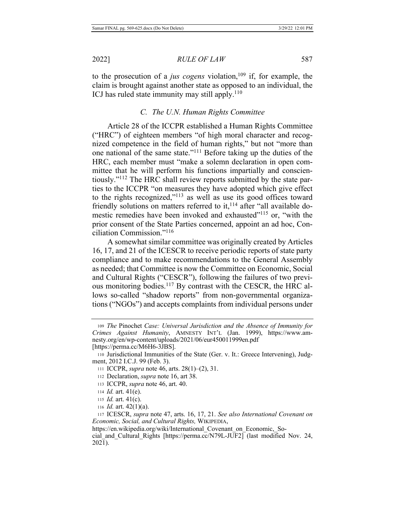to the prosecution of a *jus cogens* violation,<sup>109</sup> if, for example, the claim is brought against another state as opposed to an individual, the ICJ has ruled state immunity may still apply.<sup>110</sup>

### *C. The U.N. Human Rights Committee*

Article 28 of the ICCPR established a Human Rights Committee ("HRC") of eighteen members "of high moral character and recognized competence in the field of human rights," but not "more than one national of the same state."<sup>111</sup> Before taking up the duties of the HRC, each member must "make a solemn declaration in open committee that he will perform his functions impartially and conscientiously."<sup>112</sup> The HRC shall review reports submitted by the state parties to the ICCPR "on measures they have adopted which give effect to the rights recognized," $^{113}$  as well as use its good offices toward friendly solutions on matters referred to it,<sup>114</sup> after "all available domestic remedies have been invoked and exhausted"<sup>115</sup> or, "with the prior consent of the State Parties concerned, appoint an ad hoc, Conciliation Commission." $116$ 

A somewhat similar committee was originally created by Articles 16, 17, and 21 of the ICESCR to receive periodic reports of state party compliance and to make recommendations to the General Assembly as needed; that Committee is now the Committee on Economic, Social and Cultural Rights ("CESCR"), following the failures of two previous monitoring bodies.<sup>117</sup> By contrast with the CESCR, the HRC allows so-called "shadow reports" from non-governmental organizations ("NGOs") and accepts complaints from individual persons under

- 112 Declaration, *supra* note 16, art 38.
- 113 ICCPR, *supra* note 46, art. 40.
- $114$  *Id.* art.  $41(e)$ .
- 115  $Id.$  art.  $41(c).$
- 116 *Id.* art.  $42(1)(a)$ .

117 ICESCR, supra note 47, arts. 16, 17, 21. See also International Covenant on *Economic, Social, and Cultural Rights, WIKIPEDIA,* 

https://en.wikipedia.org/wiki/International Covenant on Economic, Social and Cultural Rights [https://perma.cc/N79L-JUF2] (last modified Nov. 24, 2021).

<sup>109</sup> The Pinochet Case: Universal Jurisdiction and the Absence of Immunity for Crimes Against Humanity, AMNESTY INT'L (Jan. 1999), https://www.amnesty.org/en/wp-content/uploads/2021/06/eur450011999en.pdf [https://perma.cc/M6H6-3JBS].

<sup>110</sup> Jurisdictional Immunities of the State (Ger. v. It.: Greece Intervening), Judgment, 2012 I.C.J. 99 (Feb. 3).

<sup>111</sup> ICCPR, *supra* note 46, arts. 28(1)–(2), 31.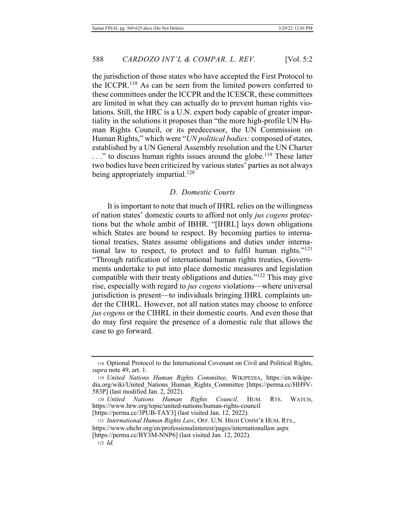the jurisdiction of those states who have accepted the First Protocol to the ICCPR.<sup>118</sup> As can be seen from the limited powers conferred to these committees under the ICCPR and the ICESCR, these committees are limited in what they can actually do to prevent human rights violations. Still, the HRC is a U.N. expert body capable of greater impartiality in the solutions it proposes than "the more high-profile UN Human Rights Council, or its predecessor, the UN Commission on Human Rights," which were "UN political bodies: composed of states, established by a UN General Assembly resolution and the UN Charter  $\dots$ " to discuss human rights issues around the globe.<sup>119</sup> These latter two bodies have been criticized by various states' parties as not always being appropriately impartial.<sup>120</sup>

#### *D. Domestic Courts*

It is important to note that much of IHRL relies on the willingness of nation states' domestic courts to afford not only *jus cogens* protections but the whole ambit of IBHR. "[IHRL] lays down obligations which States are bound to respect. By becoming parties to international treaties, States assume obligations and duties under international law to respect, to protect and to fulfil human rights." $121$ "Through ratification of international human rights treaties, Governments undertake to put into place domestic measures and legislation compatible with their treaty obligations and duties." $122$  This may give rise, especially with regard to *jus cogens* violations—where universal jurisdiction is present—to individuals bringing IHRL complaints under the CIHRL. However, not all nation states may choose to enforce *jus cogens* or the CIHRL in their domestic courts. And even those that do may first require the presence of a domestic rule that allows the case to go forward.

<sup>118</sup> Optional Protocol to the International Covenant on Civil and Political Rights, *supra* note 49, art. 1.

<sup>119</sup> United Nations Human Rights Committee, WIKIPEDIA, https://en.wikipedia.org/wiki/United Nations Human Rights Committee [https://perma.cc/HH9V-583P] (last modified Jan. 2, 2022).

<sup>120</sup> United Nations Human Rights Council, HUM. RTS. WATCH, https://www.hrw.org/topic/united-nations/human-rights-council

<sup>[</sup>https://perma.cc/3PUB-TAY3] (last visited Jan. 12, 2022).

<sup>121</sup> International Human Rights Law, OFF. U.N. HIGH COMM'R HUM. RTS., https://www.ohchr.org/en/professionalinterest/pages/internationallaw.aspx

<sup>[</sup>https://perma.cc/BY3M-NNP6] (last visited Jan. 12, 2022).

 $122$  *Id.*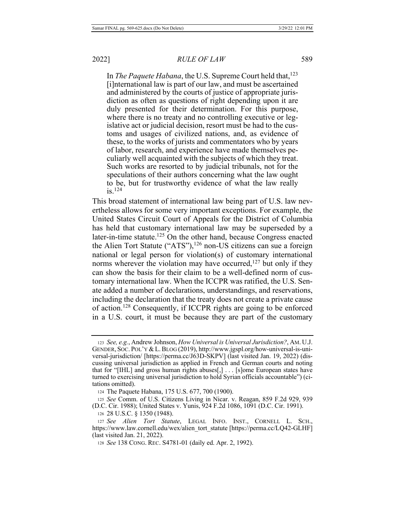In *The Paquete Habana*, the U.S. Supreme Court held that, <sup>123</sup> [i] nternational law is part of our law, and must be ascertained and administered by the courts of justice of appropriate jurisdiction as often as questions of right depending upon it are duly presented for their determination. For this purpose, where there is no treaty and no controlling executive or legislative act or judicial decision, resort must be had to the customs and usages of civilized nations, and, as evidence of these, to the works of jurists and commentators who by years of labor, research, and experience have made themselves peculiarly well acquainted with the subjects of which they treat. Such works are resorted to by judicial tribunals, not for the speculations of their authors concerning what the law ought to be, but for trustworthy evidence of what the law really  $i$ S.<sup>124</sup>

This broad statement of international law being part of U.S. law nevertheless allows for some very important exceptions. For example, the United States Circuit Court of Appeals for the District of Columbia has held that customary international law may be superseded by a later-in-time statute.<sup>125</sup> On the other hand, because Congress enacted the Alien Tort Statute ("ATS"),<sup>126</sup> non-US citizens can sue a foreign national or legal person for violation(s) of customary international norms wherever the violation may have occurred,<sup> $127$ </sup> but only if they can show the basis for their claim to be a well-defined norm of customary international law. When the ICCPR was ratified, the U.S. Senate added a number of declarations, understandings, and reservations, including the declaration that the treaty does not create a private cause of action.<sup>128</sup> Consequently, if ICCPR rights are going to be enforced in a U.S. court, it must be because they are part of the customary

<sup>123</sup> See, e.g., Andrew Johnson, *How Universal is Universal Jurisdiction?*, AM. U.J. GENDER, SOC. POL'Y & L. BLOG (2019), http://www.jgspl.org/how-universal-is-universal-jurisdiction/ [https://perma.cc/J63D-SKPV] (last visited Jan. 19, 2022) (discussing universal jurisdiction as applied in French and German courts and noting that for "[IHL] and gross human rights abuses[,]  $\ldots$  [s]ome European states have turned to exercising universal jurisdiction to hold Syrian officials accountable") (citations omitted).

<sup>124</sup> The Paquete Habana, 175 U.S. 677, 700 (1900).

<sup>125</sup> See Comm. of U.S. Citizens Living in Nicar. v. Reagan, 859 F.2d 929, 939 (D.C. Cir. 1988); United States v. Yunis, 924 F.2d 1086, 1091 (D.C. Cir. 1991).

<sup>126 28</sup> U.S.C. § 1350 (1948).

<sup>127</sup> See Alien Tort Statute, LEGAL INFO. INST., CORNELL L. SCH., https://www.law.cornell.edu/wex/alien tort statute [https://perma.cc/LQ42-GLHF]  $($ last visited Jan. 21, 2022).

<sup>128</sup> See 138 CONG. REC. S4781-01 (daily ed. Apr. 2, 1992).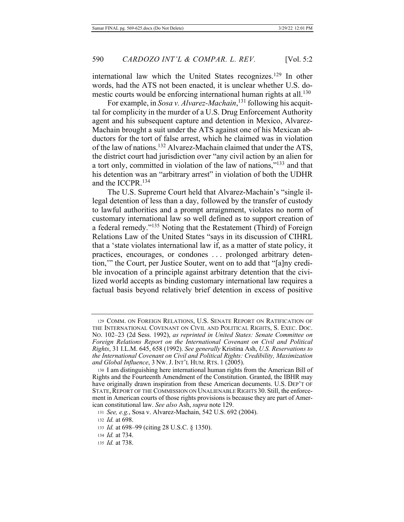international law which the United States recognizes.<sup>129</sup> In other words, had the ATS not been enacted, it is unclear whether U.S. domestic courts would be enforcing international human rights at all.<sup>130</sup>

For example, in Sosa v. Alvarez-Machain,<sup>131</sup> following his acquittal for complicity in the murder of a U.S. Drug Enforcement Authority agent and his subsequent capture and detention in Mexico, Alvarez-Machain brought a suit under the ATS against one of his Mexican abductors for the tort of false arrest, which he claimed was in violation of the law of nations.<sup>132</sup> Alvarez-Machain claimed that under the ATS, the district court had jurisdiction over "any civil action by an alien for a tort only, committed in violation of the law of nations," $^{133}$  and that his detention was an "arbitrary arrest" in violation of both the UDHR and the ICCPR. $134$ 

The U.S. Supreme Court held that Alvarez-Machain's "single illegal detention of less than a day, followed by the transfer of custody to lawful authorities and a prompt arraignment, violates no norm of customary international law so well defined as to support creation of a federal remedy."<sup>135</sup> Noting that the Restatement (Third) of Foreign Relations Law of the United States "says in its discussion of CIHRL that a 'state violates international law if, as a matter of state policy, it practices, encourages, or condones ... prolonged arbitrary detention," the Court, per Justice Souter, went on to add that "[a]ny credible invocation of a principle against arbitrary detention that the civilized world accepts as binding customary international law requires a factual basis beyond relatively brief detention in excess of positive

135 *Id.* at 738.

<sup>129</sup> COMM. ON FOREIGN RELATIONS, U.S. SENATE REPORT ON RATIFICATION OF THE INTERNATIONAL COVENANT ON CIVIL AND POLITICAL RIGHTS, S. EXEC. DOC. No. 102-23 (2d Sess. 1992), as reprinted in United States: Senate Committee on Foreign Relations Report on the International Covenant on Civil and Political *Rights*, 31 I.L.M. 645, 658 (1992). See generally Kristina Ash, U.S. Reservations to the International Covenant on Civil and Political Rights: Credibility, Maximization and Global Influence, 3 Nw. J. INT'L HUM. RTS. 1 (2005).

<sup>130</sup> I am distinguishing here international human rights from the American Bill of Rights and the Fourteenth Amendment of the Constitution. Granted, the IBHR may have originally drawn inspiration from these American documents. U.S. DEP'T OF STATE, REPORT OF THE COMMISSION ON UNALIENABLE RIGHTS 30. Still, the enforcement in American courts of those rights provisions is because they are part of American constitutional law. See also Ash, supra note 129.

<sup>131</sup> See, e.g., Sosa v. Alvarez-Machain, 542 U.S. 692 (2004).

<sup>132</sup> *Id.* at 698.

<sup>133</sup> *Id.* at 698–99 (citing 28 U.S.C. § 1350).

<sup>134</sup> *Id.* at 734.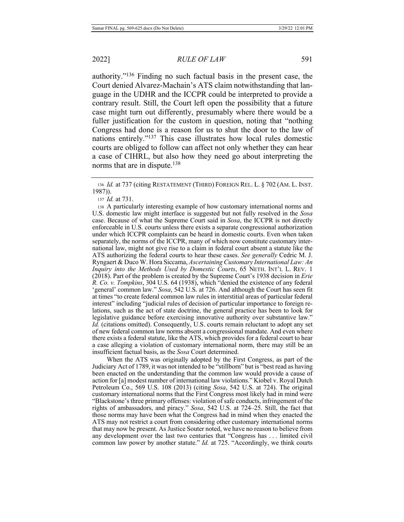authority."<sup>136</sup> Finding no such factual basis in the present case, the Court denied Alvarez-Machain's ATS claim notwithstanding that language in the UDHR and the ICCPR could be interpreted to provide a contrary result. Still, the Court left open the possibility that a future case might turn out differently, presumably where there would be a fuller justification for the custom in question, noting that "nothing Congress had done is a reason for us to shut the door to the law of nations entirely."<sup>137</sup> This case illustrates how local rules domestic courts are obliged to follow can affect not only whether they can hear a case of CIHRL, but also how they need go about interpreting the norms that are in dispute.<sup>138</sup>

137 *Id.* at 731.

138 A particularly interesting example of how customary international norms and U.S. domestic law might interface is suggested but not fully resolved in the Sosa case. Because of what the Supreme Court said in Sosa, the ICCPR is not directly enforceable in U.S. courts unless there exists a separate congressional authorization under which ICCPR complaints can be heard in domestic courts. Even when taken separately, the norms of the ICCPR, many of which now constitute customary international law, might not give rise to a claim in federal court absent a statute like the ATS authorizing the federal courts to hear these cases. See generally Cedric M. J. Ryngaert & Duco W. Hora Siccama, Ascertaining Customary International Law: An *Inquiry into the Methods Used by Domestic Courts, 65 NETH. INT'L L. REV. 1* ( $2018$ ). Part of the problem is created by the Supreme Court's 1938 decision in *Erie*  $R. Co. v.$  Tompkins, 304 U.S. 64 (1938), which "denied the existence of any federal 'general' common law." Sosa, 542 U.S. at 726. And although the Court has seen fit at times "to create federal common law rules in interstitial areas of particular federal interest" including "judicial rules of decision of particular importance to foreign relations, such as the act of state doctrine, the general practice has been to look for legislative guidance before exercising innovative authority over substantive law." *Id.* (citations omitted). Consequently, U.S. courts remain reluctant to adopt any set of new federal common law norms absent a congressional mandate. And even where there exists a federal statute, like the ATS, which provides for a federal court to hear a case alleging a violation of customary international norm, there may still be an insufficient factual basis, as the *Sosa* Court determined.

When the ATS was originally adopted by the First Congress, as part of the Judiciary Act of 1789, it was not intended to be "stillborn" but is "best read as having been enacted on the understanding that the common law would provide a cause of action for [a] modest number of international law violations." Kiobel v. Royal Dutch Petroleum Co., 569 U.S. 108 (2013) (citing Sosa, 542 U.S. at 724). The original customary international norms that the First Congress most likely had in mind were "Blackstone's three primary offenses: violation of safe conducts, infringement of the rights of ambassadors, and piracy." Sosa, 542 U.S. at 724-25. Still, the fact that those norms may have been what the Congress had in mind when they enacted the ATS may not restrict a court from considering other customary international norms that may now be present. As Justice Souter noted, we have no reason to believe from any development over the last two centuries that "Congress has ... limited civil common law power by another statute." *Id.* at 725. "Accordingly, we think courts

<sup>136</sup> *Id.* at 737 (citing RESTATEMENT (THIRD) FOREIGN REL. L. § 702 (AM. L. INST.  $1987)$ ).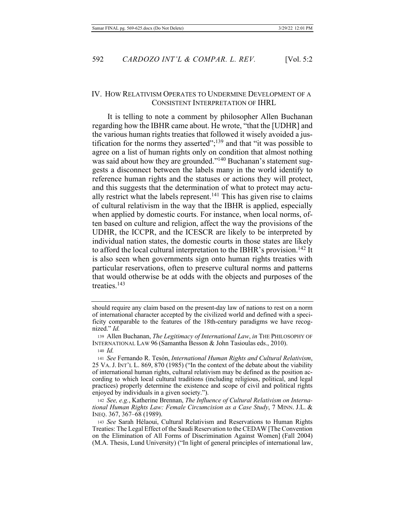# IV. How RELATIVISM OPERATES TO UNDERMINE DEVELOPMENT OF A CONSISTENT INTERPRETATION OF IHRL

It is telling to note a comment by philosopher Allen Buchanan regarding how the IBHR came about. He wrote, "that the [UDHR] and the various human rights treaties that followed it wisely avoided a justification for the norms they asserted"; $^{139}$  and that "it was possible to agree on a list of human rights only on condition that almost nothing was said about how they are grounded."<sup>140</sup> Buchanan's statement suggests a disconnect between the labels many in the world identify to reference human rights and the statuses or actions they will protect, and this suggests that the determination of what to protect may actually restrict what the labels represent.<sup>141</sup> This has given rise to claims of cultural relativism in the way that the IBHR is applied, especially when applied by domestic courts. For instance, when local norms, often based on culture and religion, affect the way the provisions of the UDHR, the ICCPR, and the ICESCR are likely to be interpreted by individual nation states, the domestic courts in those states are likely to afford the local cultural interpretation to the IBHR's provision.<sup>142</sup> It is also seen when governments sign onto human rights treaties with particular reservations, often to preserve cultural norms and patterns that would otherwise be at odds with the objects and purposes of the treaties. $143$ 

should require any claim based on the present-day law of nations to rest on a norm of international character accepted by the civilized world and defined with a specificity comparable to the features of the 18th-century paradigms we have recognized." Id.

<sup>139</sup> Allen Buchanan, *The Legitimacy of International Law*, in THE PHILOSOPHY OF INTERNATIONAL LAW 96 (Samantha Besson & John Tasioulas eds., 2010).

<sup>140</sup> *Id.* 

<sup>141</sup> See Fernando R. Tesón, International Human Rights and Cultural Relativism,  $25$  VA. J. INT'L L. 869, 870 (1985) ("In the context of the debate about the viability of international human rights, cultural relativism may be defined as the position according to which local cultural traditions (including religious, political, and legal practices) properly determine the existence and scope of civil and political rights enjoyed by individuals in a given society.").

<sup>142</sup> See, e.g., Katherine Brennan, The Influence of Cultural Relativism on Interna*fional Human Rights Law: Female Circumcision as a Case Study, 7 MINN. J.L. &* INEQ.  $367, 367 - 68$  (1989).

<sup>143</sup> See Sarah Hélaoui, Cultural Relativism and Reservations to Human Rights Treaties: The Legal Effect of the Saudi Reservation to the CEDAW [The Convention] on the Elimination of All Forms of Discrimination Against Women] (Fall 2004) (M.A. Thesis, Lund University) ("In light of general principles of international law,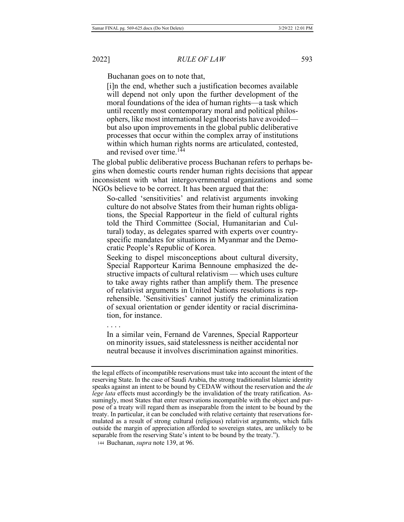Buchanan goes on to note that,

[i]n the end, whether such a justification becomes available will depend not only upon the further development of the moral foundations of the idea of human rights—a task which until recently most contemporary moral and political philosophers, like most international legal theorists have avoided but also upon improvements in the global public deliberative processes that occur within the complex array of institutions within which human rights norms are articulated, contested, and revised over time.<sup>144</sup>

The global public deliberative process Buchanan refers to perhaps begins when domestic courts render human rights decisions that appear inconsistent with what intergovernmental organizations and some NGOs believe to be correct. It has been argued that the:

So-called 'sensitivities' and relativist arguments invoking eulture do not absolve States from their human rights obligations, the Special Rapporteur in the field of cultural rights told the Third Committee (Social, Humanitarian and Cultural) today, as delegates sparred with experts over countryspecific mandates for situations in Myanmar and the Demoeratic People's Republic of Korea.

Seeking to dispel misconceptions about cultural diversity, Special Rapporteur Karima Bennoune emphasized the destructive impacts of cultural relativism — which uses culture to take away rights rather than amplify them. The presence of relativist arguments in United Nations resolutions is reprehensible. 'Sensitivities' cannot justify the criminalization of sexual orientation or gender identity or racial discrimination, for instance.

. . . .

In a similar vein, Fernand de Varennes, Special Rapporteur on minority issues, said statelessness is neither accidental nor neutral because it involves discrimination against minorities.

144 Buchanan, *supra* note 139, at 96.

the legal effects of incompatible reservations must take into account the intent of the reserving State. In the case of Saudi Arabia, the strong traditionalist Islamic identity speaks against an intent to be bound by CEDAW without the reservation and the de *lege lata* effects must accordingly be the invalidation of the treaty ratification. Assumingly, most States that enter reservations incompatible with the object and purpose of a treaty will regard them as inseparable from the intent to be bound by the treaty. In particular, it can be concluded with relative certainty that reservations formulated as a result of strong cultural (religious) relativist arguments, which falls outside the margin of appreciation afforded to sovereign states, are unlikely to be separable from the reserving State's intent to be bound by the treaty.").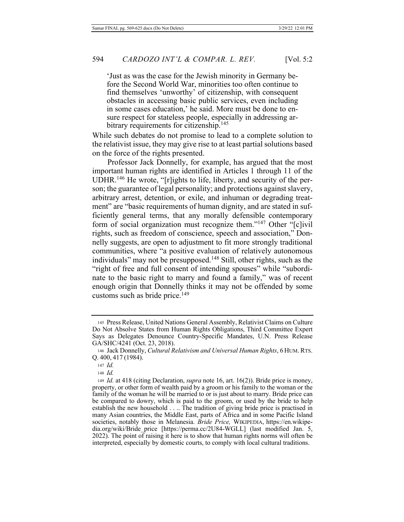'Just as was the case for the Jewish minority in Germany before the Second World War, minorities too often continue to find themselves 'unworthy' of citizenship, with consequent obstacles in accessing basic public services, even including in some cases education,' he said. More must be done to ensure respect for stateless people, especially in addressing arbitrary requirements for citizenship.<sup>145</sup>

While such debates do not promise to lead to a complete solution to the relativist issue, they may give rise to at least partial solutions based on the force of the rights presented.

Professor Jack Donnelly, for example, has argued that the most important human rights are identified in Articles 1 through 11 of the  $UDHR.<sup>146</sup>$  He wrote, "[r]ights to life, liberty, and security of the person; the guarantee of legal personality; and protections against slavery, arbitrary arrest, detention, or exile, and inhuman or degrading treatment" are "basic requirements of human dignity, and are stated in sufficiently general terms, that any morally defensible contemporary form of social organization must recognize them." $147$  Other "[c]ivil rights, such as freedom of conscience, speech and association," Donnelly suggests, are open to adjustment to fit more strongly traditional communities, where "a positive evaluation of relatively autonomous individuals" may not be presupposed.<sup>148</sup> Still, other rights, such as the "right of free and full consent of intending spouses" while "subordinate to the basic right to marry and found a family," was of recent enough origin that Donnelly thinks it may not be offended by some customs such as bride price. $149$ 

<sup>145</sup> Press Release, United Nations General Assembly, Relativist Claims on Culture Do Not Absolve States from Human Rights Obligations, Third Committee Expert Says as Delegates Denounce Country-Specific Mandates, U.N. Press Release GA/SHC/4241 (Oct. 23, 2018).

<sup>146</sup> Jack Donnelly, Cultural Relativism and Universal Human Rights, 6 HUM. RTS. Q. 400, 417 (1984).

<sup>147</sup> Id.

<sup>148</sup> *Id.* 

<sup>149</sup> *Id.* at 418 (citing Declaration, *supra* note 16, art. 16(2)). Bride price is money, property, or other form of wealth paid by a groom or his family to the woman or the family of the woman he will be married to or is just about to marry. Bride price can be compared to dowry, which is paid to the groom, or used by the bride to help establish the new household . . .. The tradition of giving bride price is practised in many Asian countries, the Middle East, parts of Africa and in some Pacific Island societies, notably those in Melanesia. Bride Price, WIKIPEDIA, https://en.wikipedia.org/wiki/Bride\_price [https://perma.cc/2U84-WGLL] (last modified Jan. 5, 2022). The point of raising it here is to show that human rights norms will often be interpreted, especially by domestic courts, to comply with local cultural traditions.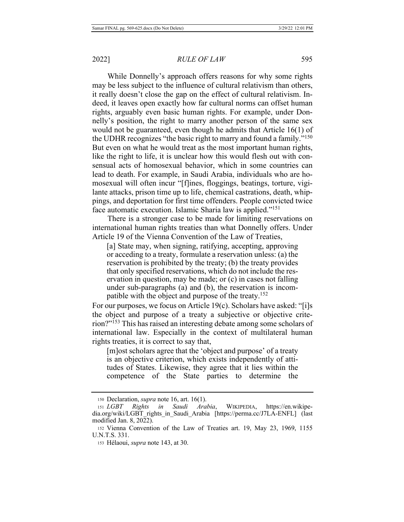While Donnelly's approach offers reasons for why some rights may be less subject to the influence of cultural relativism than others, it really doesn't close the gap on the effect of cultural relativism. Indeed, it leaves open exactly how far cultural norms can offset human rights, arguably even basic human rights. For example, under Donnelly's position, the right to marry another person of the same sex would not be guaranteed, even though he admits that Article  $16(1)$  of the UDHR recognizes "the basic right to marry and found a family."<sup>150</sup> But even on what he would treat as the most important human rights, like the right to life, it is unclear how this would flesh out with consensual acts of homosexual behavior, which in some countries can lead to death. For example, in Saudi Arabia, individuals who are homosexual will often incur "[f]ines, floggings, beatings, torture, vigilante attacks, prison time up to life, chemical castrations, death, whippings, and deportation for first time offenders. People convicted twice face automatic execution. Islamic Sharia law is applied."<sup>151</sup>

There is a stronger case to be made for limiting reservations on international human rights treaties than what Donnelly offers. Under Article 19 of the Vienna Convention of the Law of Treaties.

[a] State may, when signing, ratifying, accepting, approving or acceding to a treaty, formulate a reservation unless: (a) the reservation is prohibited by the treaty; (b) the treaty provides that only specified reservations, which do not include the reservation in question, may be made; or  $(c)$  in cases not falling under sub-paragraphs (a) and (b), the reservation is incompatible with the object and purpose of the treaty.<sup>152</sup>

For our purposes, we focus on Article 19(c). Scholars have asked: "[i]s the object and purpose of a treaty a subjective or objective crite $rion?$ <sup> $153$ </sup>This has raised an interesting debate among some scholars of international law. Especially in the context of multilateral human rights treaties, it is correct to say that,

[m] ost scholars agree that the 'object and purpose' of a treaty is an objective criterion, which exists independently of attitudes of States. Likewise, they agree that it lies within the competence of the State parties to determine the

<sup>150</sup> Declaration, *supra* note 16, art. 16(1).

<sup>151</sup> LGBT Rights in Saudi Arabia, WIKIPEDIA, /en.wikipedia.org/wiki/LGBT rights in Saudi Arabia [https://perma.cc/J7LA-ENFL] (last modified Jan. 8, 2022).

<sup>152</sup> Vienna Convention of the Law of Treaties art. 19, May 23, 1969, 1155 U.N.T.S. 331.

<sup>153</sup> Hélaoui, *supra* note 143, at 30.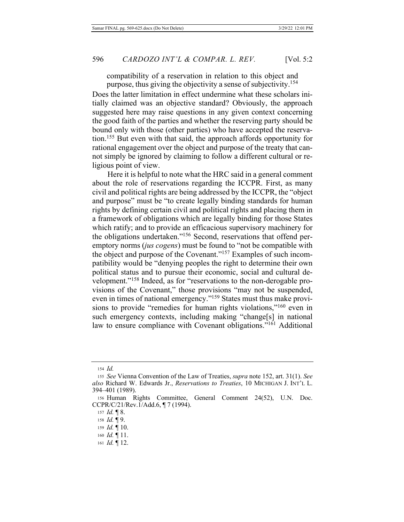compatibility of a reservation in relation to this object and purpose, thus giving the objectivity a sense of subjectivity.<sup>154</sup>

Does the latter limitation in effect undermine what these scholars initially claimed was an objective standard? Obviously, the approach suggested here may raise questions in any given context concerning the good faith of the parties and whether the reserving party should be bound only with those (other parties) who have accepted the reservation.<sup>155</sup> But even with that said, the approach affords opportunity for rational engagement over the object and purpose of the treaty that cannot simply be ignored by claiming to follow a different cultural or religious point of view.

Here it is helpful to note what the HRC said in a general comment about the role of reservations regarding the ICCPR. First, as many civil and political rights are being addressed by the ICCPR, the "object" and purpose" must be "to create legally binding standards for human rights by defining certain civil and political rights and placing them in a framework of obligations which are legally binding for those States which ratify; and to provide an efficacious supervisory machinery for the obligations undertaken."<sup>156</sup> Second, reservations that offend peremptory norms (jus cogens) must be found to "not be compatible with the object and purpose of the Covenant."<sup>157</sup> Examples of such incompatibility would be "denying peoples the right to determine their own political status and to pursue their economic, social and cultural development."<sup>158</sup> Indeed, as for "reservations to the non-derogable provisions of the Covenant," those provisions "may not be suspended, even in times of national emergency."<sup>159</sup> States must thus make provisions to provide "remedies for human rights violations,"<sup>160</sup> even in such emergency contexts, including making "change[s] in national law to ensure compliance with Covenant obligations."<sup>161</sup> Additional

<sup>154</sup> *Id.* 

<sup>155</sup> See Vienna Convention of the Law of Treaties, *supra* note 152, art. 31(1). See also Richard W. Edwards Jr., *Reservations to Treaties*, 10 MICHIGAN J. INT'L L. 394-401 (1989).

<sup>156</sup> Human Rights Committee, General Comment 24(52), U.N. Doc.  $CCPR/C/21/Rev.1/Add.6,  $\P{7}$  (1994).$ 

<sup>157</sup> *Id.* 18.

<sup>158</sup> *Id.* 19.

<sup>159</sup> Id. 10.

<sup>160</sup> *Id.*  $\P$  11.

<sup>161</sup> *Id.* 12.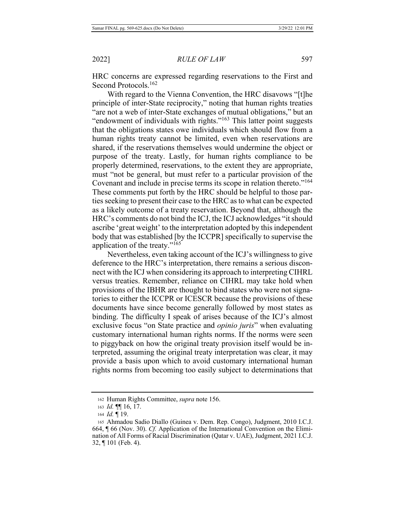2022]

HRC concerns are expressed regarding reservations to the First and Second Protocols.<sup>162</sup>

With regard to the Vienna Convention, the HRC disavows "[t]he principle of inter-State reciprocity," noting that human rights treaties "are not a web of inter-State exchanges of mutual obligations," but an "endowment of individuals with rights."<sup>163</sup> This latter point suggests that the obligations states owe individuals which should flow from a human rights treaty cannot be limited, even when reservations are shared, if the reservations themselves would undermine the object or purpose of the treaty. Lastly, for human rights compliance to be properly determined, reservations, to the extent they are appropriate, must "not be general, but must refer to a particular provision of the Covenant and include in precise terms its scope in relation thereto."<sup>164</sup> These comments put forth by the HRC should be helpful to those parties seeking to present their case to the HRC as to what can be expected as a likely outcome of a treaty reservation. Beyond that, although the HRC's comments do not bind the ICJ, the ICJ acknowledges "it should ascribe 'great weight' to the interpretation adopted by this independent body that was established [by the ICCPR] specifically to supervise the application of the treaty." $165$ 

Nevertheless, even taking account of the ICJ's willingness to give deference to the HRC's interpretation, there remains a serious disconnect with the ICJ when considering its approach to interpreting CIHRL versus treaties. Remember, reliance on CIHRL may take hold when provisions of the IBHR are thought to bind states who were not signatories to either the ICCPR or ICESCR because the provisions of these documents have since become generally followed by most states as binding. The difficulty I speak of arises because of the ICJ's almost exclusive focus "on State practice and *opinio juris*" when evaluating customary international human rights norms. If the norms were seen to piggyback on how the original treaty provision itself would be interpreted, assuming the original treaty interpretation was clear, it may provide a basis upon which to avoid customary international human rights norms from becoming too easily subject to determinations that

<sup>162</sup> Human Rights Committee, supra note 156.

<sup>163</sup> *Id.*  $\P\P$  16, 17.

<sup>164</sup> Id. 19.

<sup>165</sup> Ahmadou Sadio Diallo (Guinea v. Dem. Rep. Congo), Judgment, 2010 I.C.J. 664, [ 66 (Nov. 30). *Cf.* Application of the International Convention on the Elimination of All Forms of Racial Discrimination (Qatar v. UAE), Judgment, 2021 I.C.J. 32, ¶101 (Feb. 4).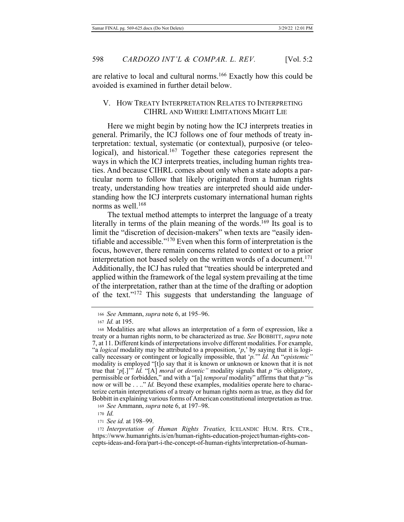are relative to local and cultural norms.<sup>166</sup> Exactly how this could be avoided is examined in further detail below.

# V. HOW TREATY INTERPRETATION RELATES TO INTERPRETING CIHRL AND WHERE LIMITATIONS MIGHT LIE

Here we might begin by noting how the ICJ interprets treaties in general. Primarily, the ICJ follows one of four methods of treaty interpretation: textual, systematic (or contextual), purposive (or teleological), and historical.<sup>167</sup> Together these categories represent the ways in which the ICJ interprets treaties, including human rights treaties. And because CIHRL comes about only when a state adopts a particular norm to follow that likely originated from a human rights treaty, understanding how treaties are interpreted should aide understanding how the ICJ interprets customary international human rights norms as well. $168$ 

The textual method attempts to interpret the language of a treaty literally in terms of the plain meaning of the words.<sup>169</sup> Its goal is to limit the "discretion of decision-makers" when texts are "easily identifiable and accessible."<sup>170</sup> Even when this form of interpretation is the focus, however, there remain concerns related to context or to a prior interpretation not based solely on the written words of a document.<sup>171</sup> Additionally, the ICJ has ruled that "treaties should be interpreted and applied within the framework of the legal system prevailing at the time of the interpretation, rather than at the time of the drafting or adoption of the text."<sup>172</sup> This suggests that understanding the language of

171 See id. at 198-99.

172 Interpretation of Human Rights Treaties, ICELANDIC HUM. RTS. CTR., https://www.humanrights.is/en/human-rights-education-project/human-rights-concepts-ideas-and-fora/part-i-the-concept-of-human-rights/interpretation-of-human-

<sup>166</sup> See Ammann, *supra* note 6, at 195–96.

<sup>167</sup> *Id.* at 195.

<sup>168</sup> Modalities are what allows an interpretation of a form of expression, like a treaty or a human rights norm, to be characterized as true. See BOBBITT, supra note 7, at 11. Different kinds of interpretations involve different modalities. For example, we have the *SINDSHR manned to maniper*<sup>1</sup>. The proposition, '*p*,' by saying that it is logically necessary or contingent or logically impossible, that 'p.'" Id. An "epistemic" modality is employed "[t]o say that it is known or unknown or known that it is not If the that 'p[.]'" *Id.* "[A] *moral* or *deontic*" modality signals that p "is obligatory, permissible or forbidden," and with a "[a] *temporal* modality" affirms that that p "is now or will be . . .." *Id*. Beyond these examples, modalities operate here to characterize certain interpretations of a treaty or human rights norm as true, as they did for Bobbitt in explaining various forms of American constitutional interpretation as true.

<sup>169</sup> See Ammann, *supra* note 6, at 197–98.

<sup>170</sup> Id.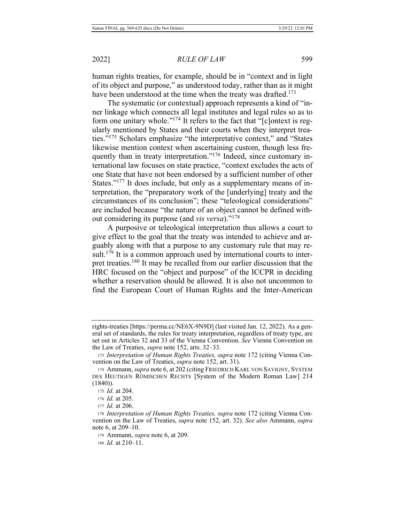human rights treaties, for example, should be in "context and in light of its object and purpose," as understood today, rather than as it might have been understood at the time when the treaty was drafted.<sup>173</sup>

The systematic (or contextual) approach represents a kind of "inner linkage which connects all legal institutes and legal rules so as to form one unitary whole."<sup>174</sup> It refers to the fact that " $[c]$  ontext is regularly mentioned by States and their courts when they interpret treaties."<sup>175</sup> Scholars emphasize "the interpretative context," and "States likewise mention context when ascertaining custom, though less frequently than in treaty interpretation."<sup>176</sup> Indeed, since customary international law focuses on state practice, "context excludes the acts of one State that have not been endorsed by a sufficient number of other States."<sup>177</sup> It does include, but only as a supplementary means of interpretation, the "preparatory work of the [underlying] treaty and the circumstances of its conclusion"; these "teleological considerations" are included because "the nature of an object cannot be defined without considering its purpose (and *vis versa*)."<sup>178</sup>

A purposive or teleological interpretation thus allows a court to give effect to the goal that the treaty was intended to achieve and arguably along with that a purpose to any customary rule that may result.<sup>179</sup> It is a common approach used by international courts to interpret treaties.<sup>180</sup> It may be recalled from our earlier discussion that the HRC focused on the "object and purpose" of the ICCPR in deciding whether a reservation should be allowed. It is also not uncommon to find the European Court of Human Rights and the Inter-American

rights-treaties [https://perma.cc/NE6X-9N9D] (last visited Jan. 12, 2022). As a general set of standards, the rules for treaty interpretation, regardless of treaty type, are set out in Articles 32 and 33 of the Vienna Convention. See Vienna Convention on the Law of Treaties, *supra* note 152, arts. 32-33.

<sup>173</sup> Interpretation of Human Rights Treaties, supra note 172 (citing Vienna Convention on the Law of Treaties, *supra* note 152, art. 31).

<sup>174</sup> Ammann, *supra* note 6, at 202 (citing FRIEDRICH KARL VON SAVIGNY, SYSTEM DES HEUTIGEN RÖMISCHEN RECHTS [System of the Modern Roman Law] 214  $(1840)$ ).

<sup>175</sup> *Id.* at 204.

<sup>176</sup> *Id.* at 205.

<sup>177</sup> *Id.* at 206.

<sup>178</sup> Interpretation of Human Rights Treaties, supra note 172 (citing Vienna Convention on the Law of Treaties, *supra* note 152, art. 32). See also Ammann, *supra* note 6, at  $209 - 10$ .

<sup>179</sup> Ammann, *supra* note 6, at 209.

<sup>180</sup> *Id.* at 210–11.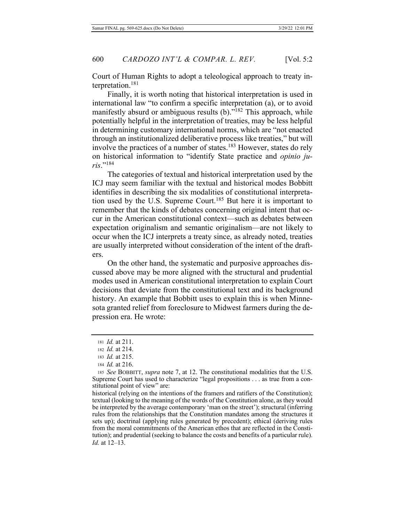Court of Human Rights to adopt a teleological approach to treaty interpretation.<sup>181</sup>

Finally, it is worth noting that historical interpretation is used in international law "to confirm a specific interpretation (a), or to avoid manifestly absurd or ambiguous results  $(b)$ ."<sup>182</sup> This approach, while potentially helpful in the interpretation of treaties, may be less helpful in determining customary international norms, which are "not enacted through an institutionalized deliberative process like treaties," but will involve the practices of a number of states.<sup>183</sup> However, states do rely on historical information to "identify State practice and *opinio juris.*"<sup>184</sup>

The categories of textual and historical interpretation used by the ICJ may seem familiar with the textual and historical modes Bobbitt identifies in describing the six modalities of constitutional interpretation used by the U.S. Supreme Court.<sup>185</sup> But here it is important to remember that the kinds of debates concerning original intent that occur in the American constitutional context—such as debates between expectation originalism and semantic originalism—are not likely to occur when the ICJ interprets a treaty since, as already noted, treaties are usually interpreted without consideration of the intent of the drafters.

On the other hand, the systematic and purposive approaches discussed above may be more aligned with the structural and prudential modes used in American constitutional interpretation to explain Court decisions that deviate from the constitutional text and its background history. An example that Bobbitt uses to explain this is when Minnesota granted relief from foreclosure to Midwest farmers during the depression era. He wrote:

<sup>181</sup> *Id.* at 211.

<sup>182</sup> *Id.* at 214.

<sup>183</sup> *Id.* at 215.

<sup>184</sup> *Id.* at 216.

<sup>185</sup> See BOBBITT, supra note 7, at 12. The constitutional modalities that the U.S. Supreme Court has used to characterize "legal propositions . . . as true from a constitutional point of view" are:

historical (relying on the intentions of the framers and ratifiers of the Constitution); textual (looking to the meaning of the words of the Constitution alone, as they would be interpreted by the average contemporary 'man on the street'); structural (inferring rules from the relationships that the Constitution mandates among the structures it sets up); doctrinal (applying rules generated by precedent); ethical (deriving rules from the moral commitments of the American ethos that are reflected in the Constitution); and prudential (seeking to balance the costs and benefits of a particular rule). Id. at 12–13.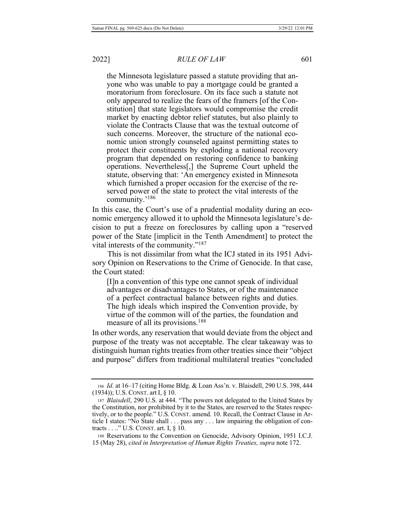the Minnesota legislature passed a statute providing that anyone who was unable to pay a mortgage could be granted a moratorium from foreclosure. On its face such a statute not only appeared to realize the fears of the framers [of the Constitution] that state legislators would compromise the credit market by enacting debtor relief statutes, but also plainly to violate the Contracts Clause that was the textual outcome of such concerns. Moreover, the structure of the national economic union strongly counseled against permitting states to protect their constituents by exploding a national recovery program that depended on restoring confidence to banking operations. Nevertheless<sup>[1]</sup>, the Supreme Court upheld the statute, observing that: 'An emergency existed in Minnesota which furnished a proper occasion for the exercise of the reserved power of the state to protect the vital interests of the community.'<sup>186</sup>

In this case, the Court's use of a prudential modality during an economic emergency allowed it to uphold the Minnesota legislature's decision to put a freeze on foreclosures by calling upon a "reserved" power of the State [implicit in the Tenth Amendment] to protect the vital interests of the community."<sup>187</sup>

This is not dissimilar from what the ICJ stated in its 1951 Advisory Opinion on Reservations to the Crime of Genocide. In that case, the Court stated:

 $\prod$  a convention of this type one cannot speak of individual advantages or disadvantages to States, or of the maintenance of a perfect contractual balance between rights and duties. The high ideals which inspired the Convention provide, by virtue of the common will of the parties, the foundation and measure of all its provisions.<sup>188</sup>

In other words, any reservation that would deviate from the object and purpose of the treaty was not acceptable. The clear takeaway was to distinguish human rights treaties from other treaties since their "object" and purpose" differs from traditional multilateral treaties "concluded

<sup>186</sup> Id. at 16-17 (citing Home Bldg. & Loan Ass'n. v. Blaisdell, 290 U.S. 398, 444  $(1934)$ ; U.S. CONST. art I, § 10.

<sup>187</sup> *Blaisdell*, 290 U.S. at 444. "The powers not delegated to the United States by the Constitution, nor prohibited by it to the States, are reserved to the States respectively, or to the people." U.S. CONST. amend. 10. Recall, the Contract Clause in Article I states: "No State shall . . . pass any . . . law impairing the obligation of contracts  $\dots$ ." U.S. CONST. art. I, § 10.

<sup>188</sup> Reservations to the Convention on Genocide, Advisory Opinion, 1951 I.C.J. 15 (May 28), cited in Interpretation of Human Rights Treaties, supra note 172.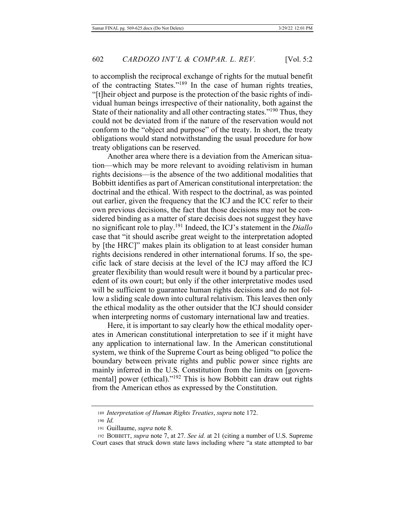to accomplish the reciprocal exchange of rights for the mutual benefit of the contracting States."<sup>189</sup> In the case of human rights treaties, "[t]heir object and purpose is the protection of the basic rights of individual human beings irrespective of their nationality, both against the State of their nationality and all other contracting states."<sup>190</sup> Thus, they could not be deviated from if the nature of the reservation would not conform to the "object and purpose" of the treaty. In short, the treaty obligations would stand notwithstanding the usual procedure for how treaty obligations can be reserved.

Another area where there is a deviation from the American situation—which may be more relevant to avoiding relativism in human rights decisions—is the absence of the two additional modalities that Bobbitt identifies as part of American constitutional interpretation: the doctrinal and the ethical. With respect to the doctrinal, as was pointed out earlier, given the frequency that the ICJ and the ICC refer to their own previous decisions, the fact that those decisions may not be considered binding as a matter of stare decisis does not suggest they have no significant role to play.<sup>191</sup> Indeed, the ICJ's statement in the *Diallo* case that "it should ascribe great weight to the interpretation adopted by [the HRC]" makes plain its obligation to at least consider human rights decisions rendered in other international forums. If so, the speeific lack of stare decisis at the level of the ICJ may afford the ICJ greater flexibility than would result were it bound by a particular precedent of its own court; but only if the other interpretative modes used will be sufficient to guarantee human rights decisions and do not follow a sliding scale down into cultural relativism. This leaves then only the ethical modality as the other outsider that the ICJ should consider when interpreting norms of customary international law and treaties.

Here, it is important to say clearly how the ethical modality operates in American constitutional interpretation to see if it might have any application to international law. In the American constitutional system, we think of the Supreme Court as being obliged "to police the boundary between private rights and public power since rights are mainly inferred in the U.S. Constitution from the limits on [governmental] power (ethical)."<sup>192</sup> This is how Bobbitt can draw out rights from the American ethos as expressed by the Constitution.

<sup>189</sup> Interpretation of Human Rights Treaties, supra note 172.

<sup>190</sup> Id.

<sup>191</sup> Guillaume, *supra* note 8.

<sup>192</sup> BOBBITT, *supra* note 7, at 27. See id. at 21 (citing a number of U.S. Supreme Court cases that struck down state laws including where "a state attempted to bar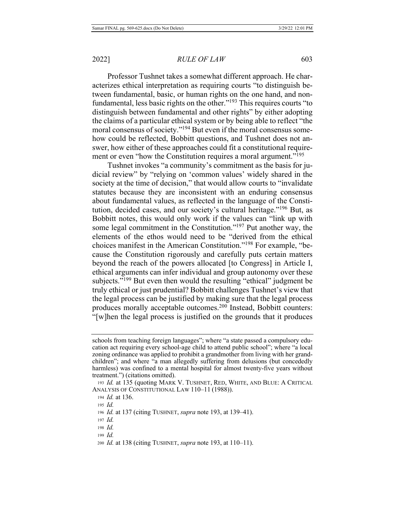Professor Tushnet takes a somewhat different approach. He characterizes ethical interpretation as requiring courts "to distinguish between fundamental, basic, or human rights on the one hand, and nonfundamental, less basic rights on the other."<sup>193</sup> This requires courts "to distinguish between fundamental and other rights" by either adopting the claims of a particular ethical system or by being able to reflect "the moral consensus of society."<sup>194</sup> But even if the moral consensus somehow could be reflected, Bobbitt questions, and Tushnet does not answer, how either of these approaches could fit a constitutional requirement or even "how the Constitution requires a moral argument."<sup>195</sup>

Tushnet invokes "a community's commitment as the basis for judicial review" by "relying on 'common values' widely shared in the society at the time of decision," that would allow courts to "invalidate statutes because they are inconsistent with an enduring consensus about fundamental values, as reflected in the language of the Constitution, decided cases, and our society's cultural heritage."<sup>196</sup> But, as Bobbitt notes, this would only work if the values can "link up with some legal commitment in the Constitution."<sup>197</sup> Put another way, the elements of the ethos would need to be "derived from the ethical choices manifest in the American Constitution."<sup>198</sup> For example, "because the Constitution rigorously and carefully puts certain matters beyond the reach of the powers allocated [to Congress] in Article I, ethical arguments can infer individual and group autonomy over these subjects."<sup>199</sup> But even then would the resulting "ethical" judgment be truly ethical or just prudential? Bobbitt challenges Tushnet's view that the legal process can be justified by making sure that the legal process produces morally acceptable outcomes.<sup>200</sup> Instead, Bobbitt counters:  $\lq$ -'[w]hen the legal process is justified on the grounds that it produces

 $199$  *Id.* 

schools from teaching foreign languages"; where "a state passed a compulsory education act requiring every school-age child to attend public school"; where "a local zoning ordinance was applied to prohibit a grandmother from living with her grandchildren"; and where "a man allegedly suffering from delusions (but concededly harmless) was confined to a mental hospital for almost twenty-five years without treatment.") (citations omitted).

<sup>193</sup> *Id.* at 135 (quoting MARK V. TUSHNET, RED, WHITE, AND BLUE: A CRITICAL ANALYSIS OF CONSTITUTIONAL LAW 110-11 (1988)).

<sup>194</sup> *Id.* at 136.

<sup>195</sup> *Id.* 

<sup>196</sup> *Id.* at 137 (citing TUSHNET, *supra* note 193, at 139–41).

 $197$  *Id.* 

<sup>198</sup> Id.

<sup>200</sup> *Id.* at 138 (citing TUSHNET, *supra* note 193, at 110–11).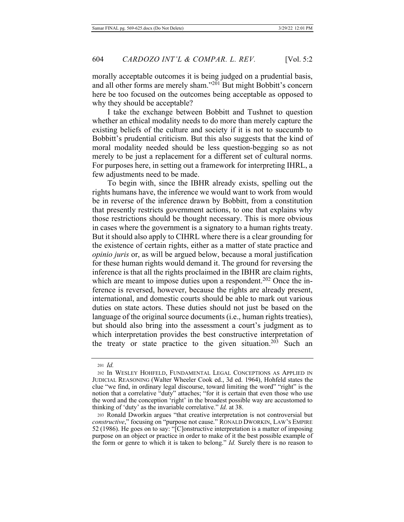morally acceptable outcomes it is being judged on a prudential basis, and all other forms are merely sham."<sup>201</sup> But might Bobbitt's concern here be too focused on the outcomes being acceptable as opposed to why they should be acceptable?

I take the exchange between Bobbitt and Tushnet to question whether an ethical modality needs to do more than merely capture the existing beliefs of the culture and society if it is not to succumb to Bobbitt's prudential criticism. But this also suggests that the kind of moral modality needed should be less question-begging so as not merely to be just a replacement for a different set of cultural norms. For purposes here, in setting out a framework for interpreting IHRL, a few adjustments need to be made.

To begin with, since the IBHR already exists, spelling out the rights humans have, the inference we would want to work from would be in reverse of the inference drawn by Bobbitt, from a constitution that presently restricts government actions, to one that explains why those restrictions should be thought necessary. This is more obvious in cases where the government is a signatory to a human rights treaty. But it should also apply to CIHRL where there is a clear grounding for the existence of certain rights, either as a matter of state practice and *opinio juris* or, as will be argued below, because a moral justification for these human rights would demand it. The ground for reversing the inference is that all the rights proclaimed in the IBHR are claim rights, which are meant to impose duties upon a respondent.<sup>202</sup> Once the inference is reversed, however, because the rights are already present, international, and domestic courts should be able to mark out various duties on state actors. These duties should not just be based on the language of the original source documents (i.e., human rights treaties), but should also bring into the assessment a court's judgment as to which interpretation provides the best constructive interpretation of the treaty or state practice to the given situation.<sup>203</sup> Such an

<sup>201</sup> Id.

<sup>202</sup> In WESLEY HOHFELD, FUNDAMENTAL LEGAL CONCEPTIONS AS APPLIED IN JUDICIAL REASONING (Walter Wheeler Cook ed., 3d ed. 1964), Hohfeld states the clue "we find, in ordinary legal discourse, toward limiting the word" "right" is the notion that a correlative "duty" attaches; "for it is certain that even those who use the word and the conception 'right' in the broadest possible way are accustomed to thinking of 'duty' as the invariable correlative." *Id.* at 38.

<sup>203</sup> Ronald Dworkin argues "that creative interpretation is not controversial but constructive," focusing on "purpose not cause." RONALD DWORKIN, LAW'S EMPIRE 52 (1986). He goes on to say: "[C]onstructive interpretation is a matter of imposing purpose on an object or practice in order to make of it the best possible example of the form or genre to which it is taken to belong." *Id.* Surely there is no reason to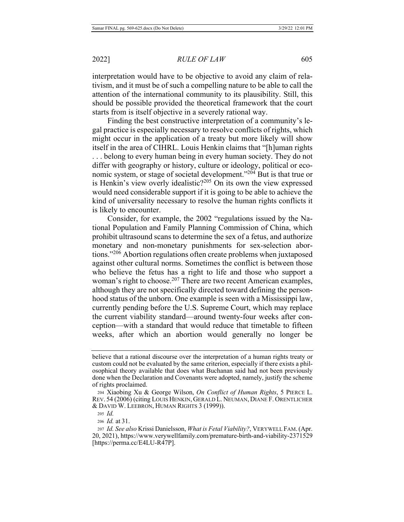interpretation would have to be objective to avoid any claim of relativism, and it must be of such a compelling nature to be able to call the attention of the international community to its plausibility. Still, this should be possible provided the theoretical framework that the court starts from is itself objective in a severely rational way.

Finding the best constructive interpretation of a community's legal practice is especially necessary to resolve conflicts of rights, which might occur in the application of a treaty but more likely will show itself in the area of CIHRL. Louis Henkin claims that "[h]uman rights ... belong to every human being in every human society. They do not differ with geography or history, culture or ideology, political or economic system, or stage of societal development."<sup>204</sup> But is that true or is Henkin's view overly idealistic?<sup>205</sup> On its own the view expressed would need considerable support if it is going to be able to achieve the kind of universality necessary to resolve the human rights conflicts it is likely to encounter.

Consider, for example, the 2002 "regulations issued by the National Population and Family Planning Commission of China, which prohibit ultrasound scans to determine the sex of a fetus, and authorize monetary and non-monetary punishments for sex-selection abortions."<sup>206</sup> Abortion regulations often create problems when juxtaposed against other cultural norms. Sometimes the conflict is between those who believe the fetus has a right to life and those who support a woman's right to choose.<sup>207</sup> There are two recent American examples, although they are not specifically directed toward defining the personhood status of the unborn. One example is seen with a Mississippi law, currently pending before the U.S. Supreme Court, which may replace the current viability standard—around twenty-four weeks after conception—with a standard that would reduce that timetable to fifteen weeks, after which an abortion would generally no longer be

206 *Id.* at 31.

believe that a rational discourse over the interpretation of a human rights treaty or eustom could not be evaluated by the same criterion, especially if there exists a philosophical theory available that does what Buchanan said had not been previously done when the Declaration and Covenants were adopted, namely, justify the scheme of rights proclaimed.

<sup>204</sup> Xiaobing Xu & George Wilson, On Conflict of Human Rights, 5 PIERCE L. REV. 54 (2006) (citing LOUIS HENKIN, GERALD L. NEUMAN, DIANE F. ORENTLICHER & DAVID W. LEEBRON, HUMAN RIGHTS 3 (1999)).

<sup>205</sup> *Id.* 

<sup>207</sup> *Id. See also* Krissi Danielsson, *What is Fetal Viability?*, VERYWELL FAM. (Apr. 20, 2021), https://www.verywellfamily.com/premature-birth-and-viability-2371529 [https://perma.cc/E4LU-R47P].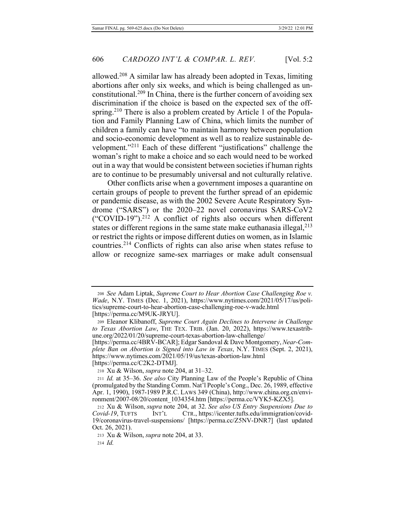allowed.<sup>208</sup> A similar law has already been adopted in Texas, limiting abortions after only six weeks, and which is being challenged as unconstitutional.<sup>209</sup> In China, there is the further concern of avoiding sex discrimination if the choice is based on the expected sex of the offspring.<sup>210</sup> There is also a problem created by Article 1 of the Population and Family Planning Law of China, which limits the number of children a family can have "to maintain harmony between population and socio-economic development as well as to realize sustainable development."<sup>211</sup> Each of these different "justifications" challenge the woman's right to make a choice and so each would need to be worked out in a way that would be consistent between societies if human rights are to continue to be presumably universal and not culturally relative.

Other conflicts arise when a government imposes a quarantine on certain groups of people to prevent the further spread of an epidemic or pandemic disease, as with the 2002 Severe Acute Respiratory Syndrome ("SARS") or the  $2020-22$  novel coronavirus SARS-CoV2 ("COVID-19").<sup>212</sup> A conflict of rights also occurs when different states or different regions in the same state make euthanasia illegal,  $213$ or restrict the rights or impose different duties on women, as in Islamic countries.<sup>214</sup> Conflicts of rights can also arise when states refuse to allow or recognize same-sex marriages or make adult consensual

 $214$  *Id.* 

<sup>208</sup> See Adam Liptak, Supreme Court to Hear Abortion Case Challenging Roe v. Wade, N.Y. TIMES (Dec. 1, 2021), https://www.nytimes.com/2021/05/17/us/politics/supreme-court-to-hear-abortion-case-challenging-roe-v-wade.html [https://perma.cc/M9UK-JRYU].

<sup>209</sup> Eleanor Klibanoff, Supreme Court Again Declines to Intervene in Challenge to Texas Abortion Law, THE TEX. TRIB. (Jan. 20, 2022), https://www.texastribune.org/2022/01/20/supreme-court-texas-abortion-law-challenge/

<sup>[</sup>https://perma.cc/4BRV-BCAR]; Edgar Sandoval & Dave Montgomery, Near-Complete Ban on Abortion is Signed into Law in Texas, N.Y. TIMES (Sept. 2, 2021), https://www.nytimes.com/2021/05/19/us/texas-abortion-law.html [https://perma.cc/C2K2-DTMJ].

<sup>210</sup> Xu & Wilson, *supra* note 204, at 31–32.

<sup>211</sup> *Id.* at 35–36. See also City Planning Law of the People's Republic of China (promulgated by the Standing Comm. Nat'l People's Cong., Dec. 26, 1989, effective Apr. 1, 1990), 1987-1989 P.R.C. Laws 349 (China), http://www.china.org.cn/environment/2007-08/20/content 1034354.htm [https://perma.cc/VYK5-KZX5].

<sup>212</sup> Xu & Wilson, *supra* note 204, at 32. See also US Entry Suspensions Due to *Covid-19*, TUFTS INT'L /icenter.tufts.edu/immigration/covid-19/coronavirus-travel-suspensions/ [https://perma.cc/Z5NV-DNR7] (last updated Oct. 26, 2021).

<sup>213</sup> Xu & Wilson, *supra* note 204, at 33.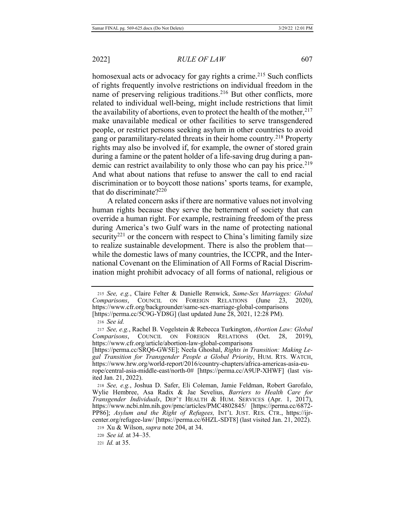homosexual acts or advocacy for gay rights a crime.<sup>215</sup> Such conflicts of rights frequently involve restrictions on individual freedom in the name of preserving religious traditions.<sup>216</sup> But other conflicts, more related to individual well-being, might include restrictions that limit the availability of abortions, even to protect the health of the mother,  $2^{17}$ make unavailable medical or other facilities to serve transgendered people, or restrict persons seeking asylum in other countries to avoid gang or paramilitary-related threats in their home country.<sup>218</sup> Property rights may also be involved if, for example, the owner of stored grain during a famine or the patent holder of a life-saving drug during a pandemic can restrict availability to only those who can pay his price.<sup>219</sup> And what about nations that refuse to answer the call to end racial discrimination or to boycott those nations' sports teams, for example, that do discriminate? $220$ 

A related concern asks if there are normative values not involving human rights because they serve the betterment of society that can override a human right. For example, restraining freedom of the press during America's two Gulf wars in the name of protecting national security<sup>221</sup> or the concern with respect to China's limiting family size to realize sustainable development. There is also the problem that while the domestic laws of many countries, the ICCPR, and the International Covenant on the Elimination of All Forms of Racial Discrimination might prohibit advocacy of all forms of national, religious or

221 *Id.* at 35.

<sup>215</sup> See, e.g., Claire Felter & Danielle Renwick, Same-Sex Marriages: Global *Comparisons*, COUNCIL ON FOREIGN RELATIONS (June 23, 2020), https://www.cfr.org/backgrounder/same-sex-marriage-global-comparisons [https://perma.cc/5C9G-YD8G] (last updated June 28, 2021, 12:28 PM).

<sup>216</sup> *See id.* 

<sup>217</sup> See, e.g., Rachel B. Vogelstein & Rebecca Turkington, Abortion Law: Global Comparisons, COUNCIL ON FOREIGN RELATIONS (Oct. 28, 2019), https://www.cfr.org/article/abortion-law-global-comparisons

<sup>[</sup>https://perma.cc/SRQ6-GW5E]; Neela Ghoshal, Rights in Transition: Making Legal Transition for Transgender People a Global Priority, HUM. RTS. WATCH, https://www.hrw.org/world-report/2016/country-chapters/africa-americas-asia-europe/central-asia-middle-east/north-0# [https://perma.cc/A9UP-XHWF] (last visited Jan. 21, 2022).

<sup>218</sup> See, e.g., Joshua D. Safer, Eli Coleman, Jamie Feldman, Robert Garofalo, Wylie Hembree, Asa Radix & Jae Sevelius, Barriers to Health Care for Transgender Individuals, DEP'T HEALTH & HUM. SERVICES (Apr. 1, 2017), https://www.ncbi.nlm.nih.gov/pmc/articles/PMC4802845/ [https://perma.cc/6872-PP86]; Asylum and the Right of Refugees, INT'L JUST. RES. CTR., https://ijrcenter.org/refugee-law/ [https://perma.cc/6HZL-SDT8] (last visited Jan. 21, 2022).

<sup>219</sup> Xu & Wilson, *supra* note 204, at 34.

<sup>220</sup> *See id.* at 34–35.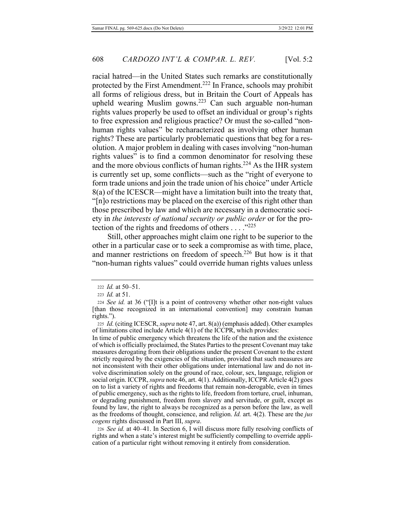racial hatred—in the United States such remarks are constitutionally protected by the First Amendment.<sup>222</sup> In France, schools may prohibit all forms of religious dress, but in Britain the Court of Appeals has upheld wearing Muslim gowns.<sup>223</sup> Can such arguable non-human rights values properly be used to offset an individual or group's rights to free expression and religious practice? Or must the so-called "nonhuman rights values" be recharacterized as involving other human rights? These are particularly problematic questions that beg for a resolution. A major problem in dealing with cases involving "non-human rights values" is to find a common denominator for resolving these and the more obvious conflicts of human rights.<sup>224</sup> As the IHR system is currently set up, some conflicts—such as the "right of everyone to form trade unions and join the trade union of his choice" under Article 8(a) of the ICESCR—might have a limitation built into the treaty that, "[n]o restrictions may be placed on the exercise of this right other than those prescribed by law and which are necessary in a democratic society in the interests of national security or public order or for the protection of the rights and freedoms of others  $\dots$ ."225

Still, other approaches might claim one right to be superior to the other in a particular case or to seek a compromise as with time, place, and manner restrictions on freedom of speech.<sup>226</sup> But how is it that "non-human rights values" could override human rights values unless

In time of public emergency which threatens the life of the nation and the existence of which is officially proclaimed, the States Parties to the present Covenant may take measures derogating from their obligations under the present Covenant to the extent strictly required by the exigencies of the situation, provided that such measures are not inconsistent with their other obligations under international law and do not involve discrimination solely on the ground of race, colour, sex, language, religion or social origin. ICCPR, *supra* note 46, art. 4(1). Additionally, ICCPR Article 4(2) goes on to list a variety of rights and freedoms that remain non-derogable, even in times of public emergency, such as the rights to life, freedom from torture, cruel, inhuman, or degrading punishment, freedom from slavery and servitude, or guilt, except as found by law, the right to always be recognized as a person before the law, as well as the freedoms of thought, conscience, and religion. *Id.* art. 4(2). These are the *jus cogens* rights discussed in Part III, supra.

226 See id. at 40–41. In Section 6, I will discuss more fully resolving conflicts of rights and when a state's interest might be sufficiently compelling to override application of a particular right without removing it entirely from consideration.

<sup>222</sup> *Id.* at 50–51.

<sup>223</sup> *Id.* at 51.

<sup>224</sup> See id. at 36 ("[I]t is a point of controversy whether other non-right values [than those recognized in an international convention] may constrain human rights.").

<sup>225</sup> *Id.* (citing ICESCR, *supra* note 47, art. 8(a)) (emphasis added). Other examples of limitations cited include Article 4(1) of the ICCPR, which provides: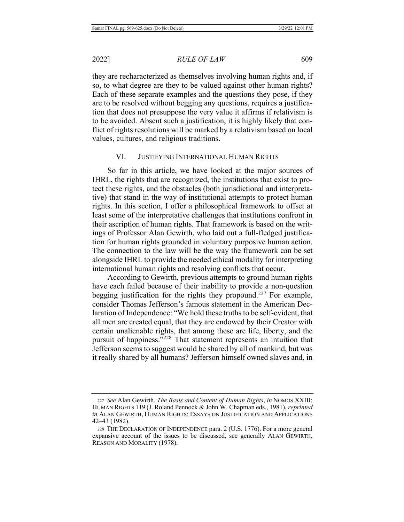**RULE OF LAW** 

they are recharacterized as themselves involving human rights and, if so, to what degree are they to be valued against other human rights? Each of these separate examples and the questions they pose, if they are to be resolved without begging any questions, requires a justification that does not presuppose the very value it affirms if relativism is to be avoided. Absent such a justification, it is highly likely that conflict of rights resolutions will be marked by a relativism based on local values, cultures, and religious traditions.

#### VI. JUSTIFYING INTERNATIONAL HUMAN RIGHTS

So far in this article, we have looked at the major sources of HRL, the rights that are recognized, the institutions that exist to protect these rights, and the obstacles (both jurisdictional and interpretative) that stand in the way of institutional attempts to protect human rights. In this section, I offer a philosophical framework to offset at least some of the interpretative challenges that institutions confront in their ascription of human rights. That framework is based on the writings of Professor Alan Gewirth, who laid out a full-fledged justification for human rights grounded in voluntary purposive human action. The connection to the law will be the way the framework can be set alongside IHRL to provide the needed ethical modality for interpreting international human rights and resolving conflicts that occur.

According to Gewirth, previous attempts to ground human rights have each failed because of their inability to provide a non-question begging justification for the rights they propound.<sup>227</sup> For example, consider Thomas Jefferson's famous statement in the American Declaration of Independence: "We hold these truths to be self-evident, that all men are created equal, that they are endowed by their Creator with certain unalienable rights, that among these are life, liberty, and the pursuit of happiness."<sup>228</sup> That statement represents an intuition that Jefferson seems to suggest would be shared by all of mankind, but was it really shared by all humans? Jefferson himself owned slaves and, in

<sup>227</sup> See Alan Gewirth, The Basis and Content of Human Rights, in NOMOS XXIII: HUMAN RIGHTS 119 (J. Roland Pennock & John W. Chapman eds., 1981), *reprinted in* ALAN GEWIRTH, HUMAN RIGHTS: ESSAYS ON JUSTIFICATION AND APPLICATIONS 42–43 (1982).

<sup>228</sup> THE DECLARATION OF INDEPENDENCE para. 2 (U.S. 1776). For a more general expansive account of the issues to be discussed, see generally ALAN GEWIRTH, REASON AND MORALITY (1978).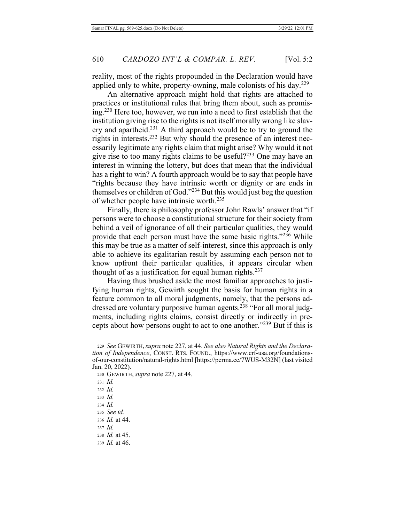reality, most of the rights propounded in the Declaration would have applied only to white, property-owning, male colonists of his day. $^{229}$ 

An alternative approach might hold that rights are attached to practices or institutional rules that bring them about, such as promising.<sup>230</sup> Here too, however, we run into a need to first establish that the institution giving rise to the rights is not itself morally wrong like slavery and apartheid.<sup>231</sup> A third approach would be to try to ground the rights in interests.<sup>232</sup> But why should the presence of an interest necessarily legitimate any rights claim that might arise? Why would it not give rise to too many rights claims to be useful? $233$  One may have an interest in winning the lottery, but does that mean that the individual has a right to win? A fourth approach would be to say that people have "rights because they have intrinsic worth or dignity or are ends in themselves or children of God."<sup>234</sup> But this would just beg the question of whether people have intrinsic worth. $^{235}$ 

Finally, there is philosophy professor John Rawls' answer that "if persons were to choose a constitutional structure for their society from behind a veil of ignorance of all their particular qualities, they would provide that each person must have the same basic rights."<sup>236</sup> While this may be true as a matter of self-interest, since this approach is only able to achieve its egalitarian result by assuming each person not to know upfront their particular qualities, it appears circular when thought of as a justification for equal human rights.<sup>237</sup>

Having thus brushed aside the most familiar approaches to justifying human rights, Gewirth sought the basis for human rights in a feature common to all moral judgments, namely, that the persons addressed are voluntary purposive human agents.<sup>238</sup> "For all moral judgments, including rights claims, consist directly or indirectly in precepts about how persons ought to act to one another."<sup>239</sup> But if this is

- $231$  *Id.*
- $232$  *Id.*
- 233 *Id.*
- 234 *Id.*
- 235 *See id.*
- 236 *Id.* at 44.
- $237$  *Id.*
- 238 *Id.* at 45.
- 239 *Id.* at 46.

<sup>229</sup> See GEWIRTH, supra note 227, at 44. See also Natural Rights and the Declaration of Independence, CONST. RTS. FOUND., https://www.crf-usa.org/foundationsof-our-constitution/natural-rights.html [https://perma.cc/7WUS-M32N] (last visited Jan. 20, 2022).

<sup>230</sup> GEWIRTH, *supra* note 227, at 44.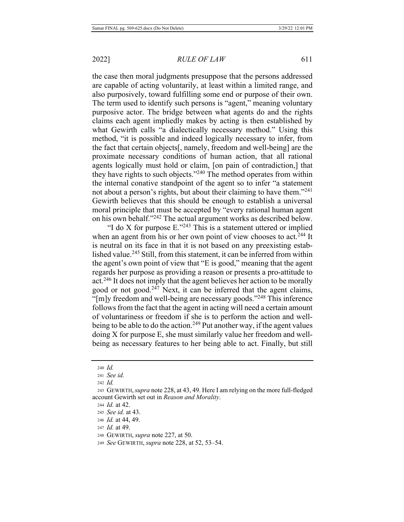the case then moral judgments presuppose that the persons addressed are capable of acting voluntarily, at least within a limited range, and also purposively, toward fulfilling some end or purpose of their own. The term used to identify such persons is "agent," meaning voluntary purposive actor. The bridge between what agents do and the rights claims each agent impliedly makes by acting is then established by what Gewirth calls "a dialectically necessary method." Using this method, "it is possible and indeed logically necessary to infer, from the fact that certain objects[, namely, freedom and well-being] are the proximate necessary conditions of human action, that all rational agents logically must hold or claim, [on pain of contradiction,] that they have rights to such objects." $240$  The method operates from within the internal conative standpoint of the agent so to infer "a statement not about a person's rights, but about their claiming to have them."<sup>241</sup> Gewirth believes that this should be enough to establish a universal moral principle that must be accepted by "every rational human agent on his own behalf."<sup>242</sup> The actual argument works as described below.

"I do X for purpose  $E^{243}$  This is a statement uttered or implied when an agent from his or her own point of view chooses to act.<sup>244</sup> It is neutral on its face in that it is not based on any preexisting established value.<sup>245</sup> Still, from this statement, it can be inferred from within the agent's own point of view that "E is good," meaning that the agent regards her purpose as providing a reason or presents a pro-attitude to act.<sup>246</sup> It does not imply that the agent believes her action to be morally good or not good.<sup>247</sup> Next, it can be inferred that the agent claims, "[m]y freedom and well-being are necessary goods."<sup>248</sup> This inference follows from the fact that the agent in acting will need a certain amount of voluntariness or freedom if she is to perform the action and wellbeing to be able to do the action.<sup>249</sup> Put another way, if the agent values  $\phi$  doing X for purpose E, she must similarly value her freedom and wellbeing as necessary features to her being able to act. Finally, but still

<sup>240</sup> *Id.* 

<sup>241</sup> See id.

<sup>242</sup> *Id.* 

<sup>243</sup> GEWIRTH, *supra* note 228, at 43, 49. Here I am relying on the more full-fledged account Gewirth set out in *Reason and Morality*.

<sup>244</sup> *Id.* at 42.

<sup>245</sup> *See id.* at 43.

<sup>246</sup> *Id.* at 44, 49.

<sup>247</sup> *Id.* at 49.

<sup>248</sup> GEWIRTH, *supra* note 227, at 50.

<sup>249</sup> See GEWIRTH, *supra* note 228, at 52, 53–54.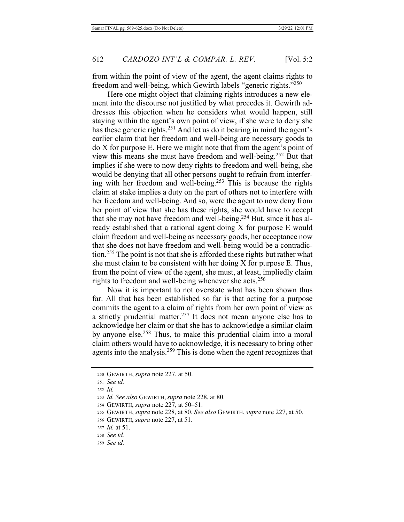from within the point of view of the agent, the agent claims rights to freedom and well-being, which Gewirth labels "generic rights."250

Here one might object that claiming rights introduces a new element into the discourse not justified by what precedes it. Gewirth addresses this objection when he considers what would happen, still staying within the agent's own point of view, if she were to deny she has these generic rights.<sup>251</sup> And let us do it bearing in mind the agent's earlier claim that her freedom and well-being are necessary goods to  $2$  do X for purpose E. Here we might note that from the agent's point of view this means she must have freedom and well-being.<sup>252</sup> But that implies if she were to now deny rights to freedom and well-being, she would be denying that all other persons ought to refrain from interfering with her freedom and well-being.<sup>253</sup> This is because the rights claim at stake implies a duty on the part of others not to interfere with her freedom and well-being. And so, were the agent to now deny from her point of view that she has these rights, she would have to accept that she may not have freedom and well-being.<sup>254</sup> But, since it has already established that a rational agent doing  $X$  for purpose  $E$  would claim freedom and well-being as necessary goods, her acceptance now that she does not have freedom and well-being would be a contradiction.<sup>255</sup> The point is not that she is afforded these rights but rather what she must claim to be consistent with her doing  $X$  for purpose E. Thus, from the point of view of the agent, she must, at least, impliedly claim rights to freedom and well-being whenever she acts.<sup>256</sup>

Now it is important to not overstate what has been shown thus far. All that has been established so far is that acting for a purpose commits the agent to a claim of rights from her own point of view as a strictly prudential matter.<sup>257</sup> It does not mean anyone else has to acknowledge her claim or that she has to acknowledge a similar claim by anyone else.<sup>258</sup> Thus, to make this prudential claim into a moral claim others would have to acknowledge, it is necessary to bring other agents into the analysis.<sup>259</sup> This is done when the agent recognizes that

- 254 GEWIRTH, *supra* note 227, at 50–51.
- 255 GEWIRTH, supra note 228, at 80. See also GEWIRTH, supra note 227, at 50.
- 256 GEWIRTH, *supra* note 227, at 51.

<sup>250</sup> GEWIRTH, *supra* note 227, at 50.

<sup>251</sup> *See id.* 

 $252$  *Id.* 

<sup>253</sup> *Id. See also* GEWIRTH, *supra* note 228, at 80.

<sup>257</sup> *Id.* at 51.

<sup>258</sup> *See id.* 

<sup>259</sup> *See id.*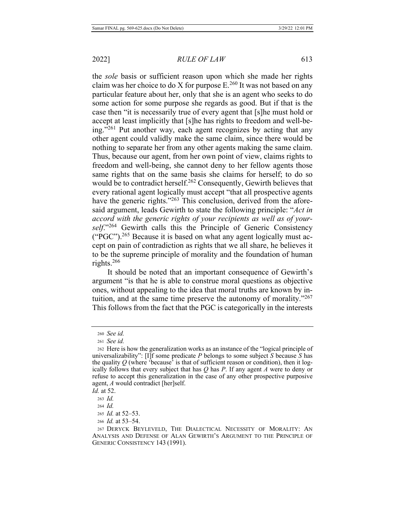the sole basis or sufficient reason upon which she made her rights claim was her choice to do X for purpose  $E^{260}$  It was not based on any particular feature about her, only that she is an agent who seeks to do some action for some purpose she regards as good. But if that is the case then "it is necessarily true of every agent that [s] he must hold or accept at least implicitly that [s]he has rights to freedom and well-being."<sup>261</sup> Put another way, each agent recognizes by acting that any other agent could validly make the same claim, since there would be nothing to separate her from any other agents making the same claim. Thus, because our agent, from her own point of view, claims rights to freedom and well-being, she cannot deny to her fellow agents those same rights that on the same basis she claims for herself; to do so would be to contradict herself.<sup>262</sup> Consequently, Gewirth believes that every rational agent logically must accept "that all prospective agents have the generic rights." $263$  This conclusion, derived from the aforesaid argument, leads Gewirth to state the following principle: "Act in *accord with the generic rights of your recipients as well as of your*self."<sup>264</sup> Gewirth calls this the Principle of Generic Consistency ("PGC").<sup>265</sup> Because it is based on what any agent logically must accept on pain of contradiction as rights that we all share, he believes it to be the supreme principle of morality and the foundation of human rights.<sup>266</sup>

It should be noted that an important consequence of Gewirth's argument "is that he is able to construe moral questions as objective ones, without appealing to the idea that moral truths are known by intuition, and at the same time preserve the autonomy of morality."267 This follows from the fact that the PGC is categorically in the interests

<sup>260</sup> *See id.* 

<sup>261</sup> See id.

<sup>262</sup> Here is how the generalization works as an instance of the "logical principle of universalizability": [I]f some predicate P belongs to some subject S because S has the quality  $Q$  (where 'because' is that of sufficient reason or condition), then it logically follows that every subject that has  $Q$  has  $P$ . If any agent  $A$  were to deny or refuse to accept this generalization in the case of any other prospective purposive agent, A would contradict [her]self.

*Id.* at 52.

<sup>263</sup> *Id.* 

 $264$  *Id.* 

<sup>265</sup> *Id.* at 52-53.

<sup>266</sup> *Id.* at 53–54.

<sup>267</sup> DERYCK BEYLEVELD, THE DIALECTICAL NECESSITY OF MORALITY: AN ANALYSIS AND DEFENSE OF ALAN GEWIRTH'S ARGUMENT TO THE PRINCIPLE OF GENERIC CONSISTENCY 143 (1991).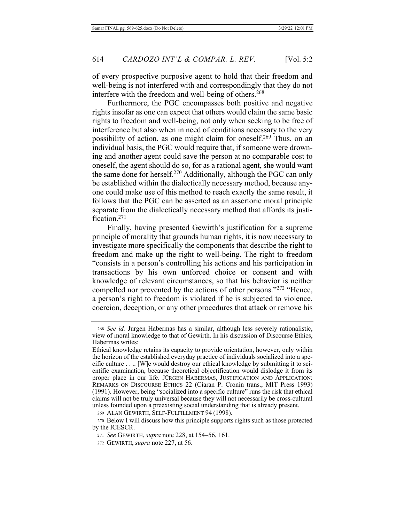of every prospective purposive agent to hold that their freedom and well-being is not interfered with and correspondingly that they do not interfere with the freedom and well-being of others.<sup>268</sup>

Furthermore, the PGC encompasses both positive and negative rights insofar as one can expect that others would claim the same basic rights to freedom and well-being, not only when seeking to be free of interference but also when in need of conditions necessary to the very possibility of action, as one might claim for oneself.<sup>269</sup> Thus, on an individual basis, the PGC would require that, if someone were drowning and another agent could save the person at no comparable cost to oneself, the agent should do so, for as a rational agent, she would want the same done for herself.<sup>270</sup> Additionally, although the PGC can only be established within the dialectically necessary method, because anyone could make use of this method to reach exactly the same result, it follows that the PGC can be asserted as an assertoric moral principle separate from the dialectically necessary method that affords its justification. $271$ 

Finally, having presented Gewirth's justification for a supreme principle of morality that grounds human rights, it is now necessary to investigate more specifically the components that describe the right to freedom and make up the right to well-being. The right to freedom "consists in a person's controlling his actions and his participation in transactions by his own unforced choice or consent and with knowledge of relevant circumstances, so that his behavior is neither compelled nor prevented by the actions of other persons." $272$  "Hence, a person's right to freedom is violated if he is subjected to violence, coercion, deception, or any other procedures that attack or remove his

<sup>268</sup> See id. Jurgen Habermas has a similar, although less severely rationalistic, view of moral knowledge to that of Gewirth. In his discussion of Discourse Ethics, Habermas writes:

Ethical knowledge retains its capacity to provide orientation, however, only within the horizon of the established everyday practice of individuals socialized into a spe $s$  cific culture  $\dots$  [W]e would destroy our ethical knowledge by submitting it to scientific examination, because theoretical objectification would dislodge it from its proper place in our life. JÜRGEN HABERMAS, JUSTIFICATION AND APPLICATION: REMARKS ON DISCOURSE ETHICS 22 (Ciaran P. Cronin trans., MIT Press 1993) (1991). However, being "socialized into a specific culture" runs the risk that ethical claims will not be truly universal because they will not necessarily be cross-cultural unless founded upon a preexisting social understanding that is already present.

<sup>269</sup> ALAN GEWIRTH, SELF-FULFILLMENT 94 (1998).

<sup>270</sup> Below I will discuss how this principle supports rights such as those protected by the ICESCR.

<sup>271</sup> See GEWIRTH, *supra* note 228, at 154–56, 161.

<sup>272</sup> GEWIRTH, *supra* note 227, at 56.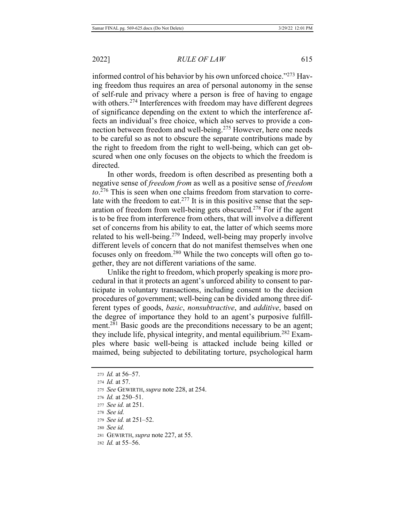informed control of his behavior by his own unforced choice." $^{273}$  Having freedom thus requires an area of personal autonomy in the sense of self-rule and privacy where a person is free of having to engage with others.<sup>274</sup> Interferences with freedom may have different degrees of significance depending on the extent to which the interference affects an individual's free choice, which also serves to provide a connection between freedom and well-being.<sup>275</sup> However, here one needs to be careful so as not to obscure the separate contributions made by the right to freedom from the right to well-being, which can get obscured when one only focuses on the objects to which the freedom is directed.

In other words, freedom is often described as presenting both a negative sense of *freedom from* as well as a positive sense of *freedom to*.<sup>276</sup> This is seen when one claims freedom from starvation to correlate with the freedom to eat.<sup>277</sup> It is in this positive sense that the separation of freedom from well-being gets obscured.<sup>278</sup> For if the agent is to be free from interference from others, that will involve a different set of concerns from his ability to eat, the latter of which seems more related to his well-being.<sup>279</sup> Indeed, well-being may properly involve different levels of concern that do not manifest themselves when one focuses only on freedom.<sup>280</sup> While the two concepts will often go together, they are not different variations of the same.

Unlike the right to freedom, which properly speaking is more procedural in that it protects an agent's unforced ability to consent to participate in voluntary transactions, including consent to the decision procedures of government; well-being can be divided among three different types of goods, *basic*, *nonsubtractive*, and *additive*, based on the degree of importance they hold to an agent's purposive fulfillment.<sup>281</sup> Basic goods are the preconditions necessary to be an agent; they include life, physical integrity, and mental equilibrium.<sup>282</sup> Examples where basic well-being is attacked include being killed or maimed, being subjected to debilitating torture, psychological harm

- 276 *Id.* at 250–51.
- 277 See id. at 251.
- 278 *See id.*
- 279 See id. at 251–52.
- 280 *See id.*
- 281 GEWIRTH, *supra* note 227, at 55.
- 282 *Id.* at 55–56.

<sup>273</sup> *Id.* at 56–57. 274 *Id.* at 57. 275 See GEWIRTH, *supra* note 228, at 254.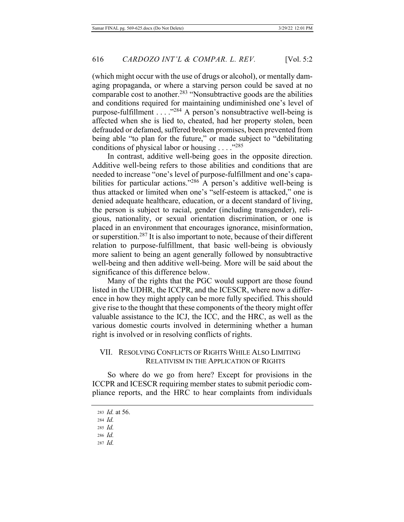(which might occur with the use of drugs or alcohol), or mentally damaging propaganda, or where a starving person could be saved at no comparable cost to another.<sup>283</sup> "Nonsubtractive goods are the abilities and conditions required for maintaining undiminished one's level of purpose-fulfillment ...  $\cdot$ <sup>284</sup> A person's nonsubtractive well-being is affected when she is lied to, cheated, had her property stolen, been defrauded or defamed, suffered broken promises, been prevented from being able "to plan for the future," or made subject to "debilitating conditions of physical labor or housing . . . . "285"

In contrast, additive well-being goes in the opposite direction. Additive well-being refers to those abilities and conditions that are needed to increase "one's level of purpose-fulfillment and one's capabilities for particular actions."<sup>286</sup> A person's additive well-being is thus attacked or limited when one's "self-esteem is attacked," one is denied adequate healthcare, education, or a decent standard of living, the person is subject to racial, gender (including transgender), religious, nationality, or sexual orientation discrimination, or one is placed in an environment that encourages ignorance, misinformation, or superstition.<sup>287</sup> It is also important to note, because of their different relation to purpose-fulfillment, that basic well-being is obviously more salient to being an agent generally followed by nonsubtractive well-being and then additive well-being. More will be said about the significance of this difference below.

Many of the rights that the PGC would support are those found listed in the UDHR, the ICCPR, and the ICESCR, where now a difference in how they might apply can be more fully specified. This should give rise to the thought that these components of the theory might offer valuable assistance to the ICJ, the ICC, and the HRC, as well as the various domestic courts involved in determining whether a human right is involved or in resolving conflicts of rights.

# VII. RESOLVING CONFLICTS OF RIGHTS WHILE ALSO LIMITING RELATIVISM IN THE APPLICATION OF RIGHTS

So where do we go from here? Except for provisions in the ICCPR and ICESCR requiring member states to submit periodic compliance reports, and the HRC to hear complaints from individuals

287 Id.

<sup>283</sup> *Id.* at 56.

<sup>284</sup> *Id.* 

<sup>285</sup> *Id.* 

<sup>286</sup> *Id.*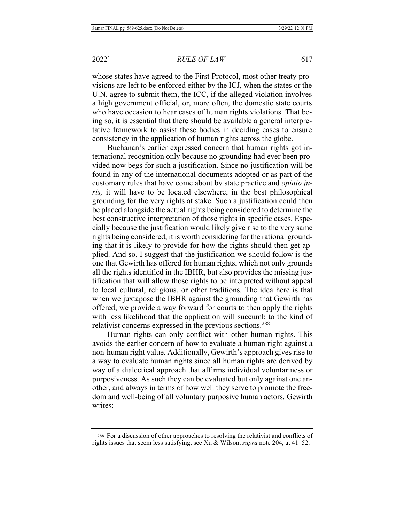**RULE OF LAW** 

whose states have agreed to the First Protocol, most other treaty provisions are left to be enforced either by the ICJ, when the states or the U.N. agree to submit them, the ICC, if the alleged violation involves a high government official, or, more often, the domestic state courts who have occasion to hear cases of human rights violations. That being so, it is essential that there should be available a general interpretative framework to assist these bodies in deciding cases to ensure consistency in the application of human rights across the globe.

Buchanan's earlier expressed concern that human rights got international recognition only because no grounding had ever been provided now begs for such a justification. Since no justification will be found in any of the international documents adopted or as part of the customary rules that have come about by state practice and *opinio juris*, it will have to be located elsewhere, in the best philosophical grounding for the very rights at stake. Such a justification could then be placed alongside the actual rights being considered to determine the best constructive interpretation of those rights in specific cases. Especially because the justification would likely give rise to the very same rights being considered, it is worth considering for the rational grounding that it is likely to provide for how the rights should then get applied. And so, I suggest that the justification we should follow is the one that Gewirth has offered for human rights, which not only grounds all the rights identified in the IBHR, but also provides the missing justification that will allow those rights to be interpreted without appeal to local cultural, religious, or other traditions. The idea here is that when we juxtapose the IBHR against the grounding that Gewirth has offered, we provide a way forward for courts to then apply the rights with less likelihood that the application will succumb to the kind of relativist concerns expressed in the previous sections.<sup>288</sup>

Human rights can only conflict with other human rights. This avoids the earlier concern of how to evaluate a human right against a non-human right value. Additionally, Gewirth's approach gives rise to a way to evaluate human rights since all human rights are derived by way of a dialectical approach that affirms individual voluntariness or purposiveness. As such they can be evaluated but only against one another, and always in terms of how well they serve to promote the freedom and well-being of all voluntary purposive human actors. Gewirth writes:

<sup>288</sup> For a discussion of other approaches to resolving the relativist and conflicts of rights issues that seem less satisfying, see Xu & Wilson, *supra* note 204, at 41–52.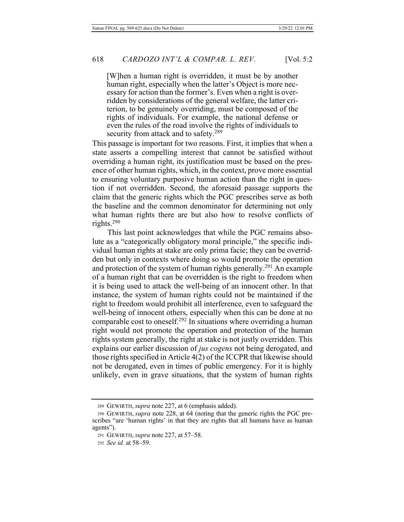[W]hen a human right is overridden, it must be by another human right, especially when the latter's Object is more necessary for action than the former's. Even when a right is overridden by considerations of the general welfare, the latter criterion, to be genuinely overriding, must be composed of the rights of individuals. For example, the national defense or even the rules of the road involve the rights of individuals to security from attack and to safety.<sup>289</sup>

This passage is important for two reasons. First, it implies that when a state asserts a compelling interest that cannot be satisfied without overriding a human right, its justification must be based on the presence of other human rights, which, in the context, prove more essential to ensuring voluntary purposive human action than the right in question if not overridden. Second, the aforesaid passage supports the claim that the generic rights which the PGC prescribes serve as both the baseline and the common denominator for determining not only what human rights there are but also how to resolve conflicts of rights.<sup>290</sup>

This last point acknowledges that while the PGC remains absolute as a "categorically obligatory moral principle," the specific individual human rights at stake are only prima facie; they can be overridden but only in contexts where doing so would promote the operation and protection of the system of human rights generally.<sup>291</sup> An example of a human right that can be overridden is the right to freedom when it is being used to attack the well-being of an innocent other. In that instance, the system of human rights could not be maintained if the right to freedom would prohibit all interference, even to safeguard the well-being of innocent others, especially when this can be done at no comparable cost to oneself.<sup>292</sup> In situations where overriding a human right would not promote the operation and protection of the human rights system generally, the right at stake is not justly overridden. This explains our earlier discussion of *jus cogens* not being derogated, and those rights specified in Article  $4(2)$  of the ICCPR that likewise should not be derogated, even in times of public emergency. For it is highly unlikely, even in grave situations, that the system of human rights

<sup>289</sup> GEWIRTH, *supra* note 227, at 6 (emphasis added).

<sup>290</sup> GEWIRTH, *supra* note 228, at 64 (noting that the generic rights the PGC prescribes "are 'human rights' in that they are rights that all humans have as human agents").

<sup>291</sup> GEWIRTH, *supra* note 227, at 57-58.

<sup>292</sup> *See id.* at 58–59.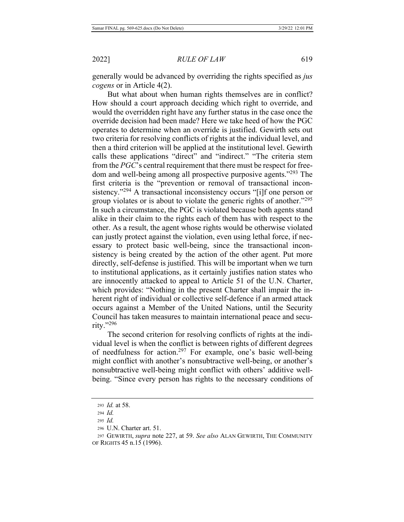generally would be advanced by overriding the rights specified as *jus cogens* or in Article 4(2).

But what about when human rights themselves are in conflict? How should a court approach deciding which right to override, and would the overridden right have any further status in the case once the override decision had been made? Here we take heed of how the PGC operates to determine when an override is justified. Gewirth sets out two criteria for resolving conflicts of rights at the individual level, and then a third criterion will be applied at the institutional level. Gewirth calls these applications "direct" and "indirect." "The criteria stem from the  $PGC$ 's central requirement that there must be respect for freedom and well-being among all prospective purposive agents."<sup>293</sup> The first criteria is the "prevention or removal of transactional inconsistency."<sup>294</sup> A transactional inconsistency occurs "[i]f one person or group violates or is about to violate the generic rights of another." $^{295}$ In such a circumstance, the PGC is violated because both agents stand alike in their claim to the rights each of them has with respect to the other. As a result, the agent whose rights would be otherwise violated can justly protect against the violation, even using lethal force, if necessary to protect basic well-being, since the transactional inconsistency is being created by the action of the other agent. Put more directly, self-defense is justified. This will be important when we turn to institutional applications, as it certainly justifies nation states who are innocently attacked to appeal to Article 51 of the U.N. Charter, which provides: "Nothing in the present Charter shall impair the inherent right of individual or collective self-defence if an armed attack occurs against a Member of the United Nations, until the Security Council has taken measures to maintain international peace and security." $^{296}$ 

The second criterion for resolving conflicts of rights at the individual level is when the conflict is between rights of different degrees of needfulness for action.<sup>297</sup> For example, one's basic well-being might conflict with another's nonsubtractive well-being, or another's nonsubtractive well-being might conflict with others' additive wellbeing. "Since every person has rights to the necessary conditions of

<sup>293</sup> *Id.* at 58.

<sup>294</sup> *Id.* 

<sup>295</sup> *Id.* 

 $296$  U.N. Charter art. 51.

<sup>297</sup> GEWIRTH, *supra* note 227, at 59. See also ALAN GEWIRTH, THE COMMUNITY OF RIGHTS 45 n.15 (1996).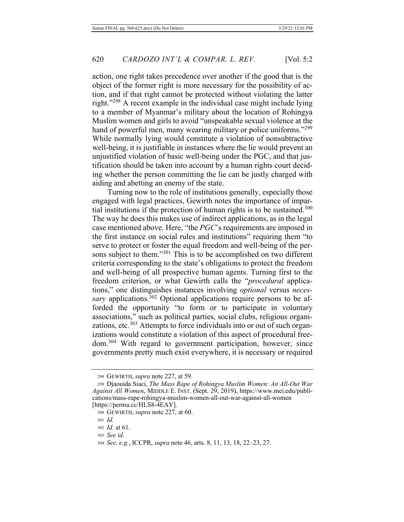action, one right takes precedence over another if the good that is the object of the former right is more necessary for the possibility of action, and if that right cannot be protected without violating the latter right." $^{298}$  A recent example in the individual case might include lying to a member of Myanmar's military about the location of Rohingya Muslim women and girls to avoid "unspeakable sexual violence at the hand of powerful men, many wearing military or police uniforms."<sup>299</sup> While normally lying would constitute a violation of nonsubtractive well-being, it is justifiable in instances where the lie would prevent an unjustified violation of basic well-being under the PGC, and that justification should be taken into account by a human rights court deciding whether the person committing the lie can be justly charged with aiding and abetting an enemy of the state.

Turning now to the role of institutions generally, especially those engaged with legal practices, Gewirth notes the importance of impartial institutions if the protection of human rights is to be sustained.<sup>300</sup> The way he does this makes use of indirect applications, as in the legal case mentioned above. Here, "the PGC's requirements are imposed in the first instance on social rules and institutions" requiring them "to serve to protect or foster the equal freedom and well-being of the persons subject to them."<sup>301</sup> This is to be accomplished on two different criteria corresponding to the state's obligations to protect the freedom and well-being of all prospective human agents. Turning first to the freedom criterion, or what Gewirth calls the "procedural applications," one distinguishes instances involving *optional* versus *neces*sary applications.<sup>302</sup> Optional applications require persons to be afforded the opportunity "to form or to participate in voluntary associations," such as political parties, social clubs, religious organizations, etc.<sup>303</sup> Attempts to force individuals into or out of such organizations would constitute a violation of this aspect of procedural freedom.<sup>304</sup> With regard to government participation, however, since governments pretty much exist everywhere, it is necessary or required

<sup>298</sup> GEWIRTH, *supra* note 227, at 59.

<sup>299</sup> Djaouida Siaci, The Mass Rape of Rohingya Muslim Women: An All-Out War Against All Women, MIDDLE E. INST. (Sept. 29, 2019), https://www.mei.edu/publications/mass-rape-rohingya-muslim-women-all-out-war-against-all-women [https://perma.cc/HLS8-4EAY].

<sup>300</sup> GEWIRTH, *supra* note 227, at 60.

<sup>301</sup> Id.

<sup>302</sup> *Id.* at 61.

<sup>303</sup> See id.

<sup>304</sup> *See, e.g.*, ICCPR, *supra* note 46, arts. 8, 11, 13, 18, 22–23, 27.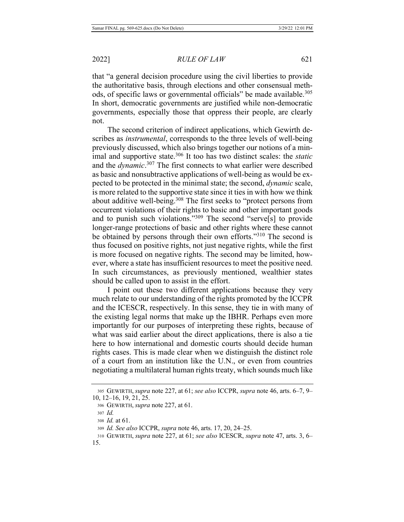that "a general decision procedure using the civil liberties to provide the authoritative basis, through elections and other consensual methods, of specific laws or governmental officials" be made available.<sup>305</sup> In short, democratic governments are justified while non-democratic governments, especially those that oppress their people, are clearly not.

The second criterion of indirect applications, which Gewirth describes as *instrumental*, corresponds to the three levels of well-being previously discussed, which also brings together our notions of a minimal and supportive state.<sup>306</sup> It too has two distinct scales: the *static* and the *dynamic*.<sup>307</sup> The first connects to what earlier were described as basic and nonsubtractive applications of well-being as would be expected to be protected in the minimal state; the second, *dynamic* scale, is more related to the supportive state since it ties in with how we think about additive well-being.<sup>308</sup> The first seeks to "protect persons from occurrent violations of their rights to basic and other important goods and to punish such violations."<sup>309</sup> The second "serve<sup>[s]</sup> to provide longer-range protections of basic and other rights where these cannot be obtained by persons through their own efforts."<sup>310</sup> The second is thus focused on positive rights, not just negative rights, while the first is more focused on negative rights. The second may be limited, however, where a state has insufficient resources to meet the positive need. In such circumstances, as previously mentioned, wealthier states should be called upon to assist in the effort.

I point out these two different applications because they very much relate to our understanding of the rights promoted by the ICCPR and the ICESCR, respectively. In this sense, they tie in with many of the existing legal norms that make up the IBHR. Perhaps even more importantly for our purposes of interpreting these rights, because of what was said earlier about the direct applications, there is also a tie here to how international and domestic courts should decide human rights cases. This is made clear when we distinguish the distinct role of a court from an institution like the U.N., or even from countries negotiating a multilateral human rights treaty, which sounds much like

<sup>305</sup> GEWIRTH, *supra* note 227, at 61; see also ICCPR, supra note 46, arts. 6–7, 9–  $10, 12-16, 19, 21, 25.$ 

<sup>306</sup> GEWIRTH, *supra* note 227, at 61.

<sup>307</sup> Id.

<sup>308</sup> *Id.* at 61.

<sup>309</sup> *Id. See also* ICCPR, *supra* note 46, arts. 17, 20, 24–25.

<sup>310</sup> GEWIRTH, *supra* note 227, at 61; see also ICESCR, supra note 47, arts. 3, 6– 15.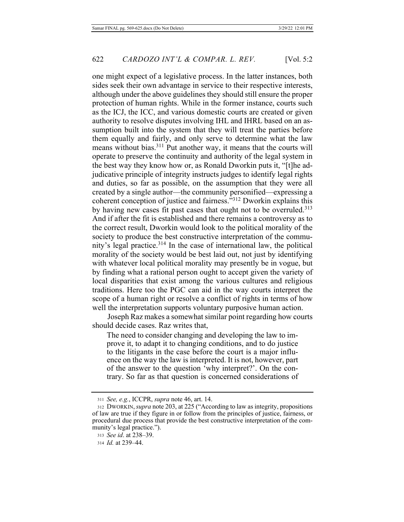one might expect of a legislative process. In the latter instances, both sides seek their own advantage in service to their respective interests, although under the above guidelines they should still ensure the proper protection of human rights. While in the former instance, courts such as the ICJ, the ICC, and various domestic courts are created or given authority to resolve disputes involving IHL and IHRL based on an assumption built into the system that they will treat the parties before them equally and fairly, and only serve to determine what the law means without bias.<sup>311</sup> Put another way, it means that the courts will operate to preserve the continuity and authority of the legal system in the best way they know how or, as Ronald Dworkin puts it, "[t]he adjudicative principle of integrity instructs judges to identify legal rights and duties, so far as possible, on the assumption that they were all created by a single author—the community personified—expressing a coherent conception of justice and fairness."<sup>312</sup> Dworkin explains this by having new cases fit past cases that ought not to be overruled.<sup>313</sup> And if after the fit is established and there remains a controversy as to the correct result, Dworkin would look to the political morality of the society to produce the best constructive interpretation of the community's legal practice.<sup>314</sup> In the case of international law, the political morality of the society would be best laid out, not just by identifying with whatever local political morality may presently be in vogue, but by finding what a rational person ought to accept given the variety of local disparities that exist among the various cultures and religious traditions. Here too the PGC can aid in the way courts interpret the scope of a human right or resolve a conflict of rights in terms of how well the interpretation supports voluntary purposive human action.

Joseph Raz makes a somewhat similar point regarding how courts should decide cases. Raz writes that,

The need to consider changing and developing the law to improve it, to adapt it to changing conditions, and to do justice to the litigants in the case before the court is a major influence on the way the law is interpreted. It is not, however, part of the answer to the question 'why interpret?'. On the contrary. So far as that question is concerned considerations of

<sup>311</sup> See, e.g., ICCPR, *supra* note 46, art. 14.

<sup>312</sup> DWORKIN, *supra* note 203, at 225 ("According to law as integrity, propositions of law are true if they figure in or follow from the principles of justice, fairness, or procedural due process that provide the best constructive interpretation of the community's legal practice.").

<sup>313</sup> See id. at 238-39.

<sup>314</sup> *Id.* at 239-44.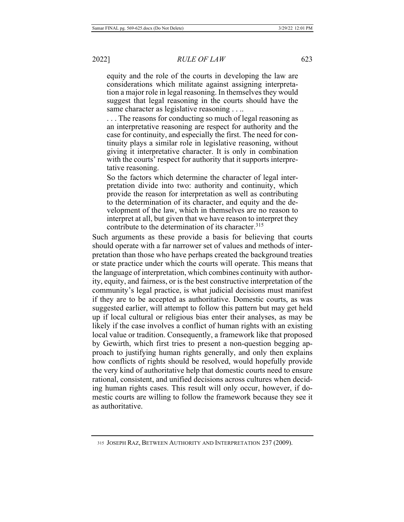equity and the role of the courts in developing the law are considerations which militate against assigning interpretation a major role in legal reasoning. In themselves they would suggest that legal reasoning in the courts should have the same character as legislative reasoning . . ..

 $\ldots$  The reasons for conducting so much of legal reasoning as an interpretative reasoning are respect for authority and the case for continuity, and especially the first. The need for continuity plays a similar role in legislative reasoning, without giving it interpretative character. It is only in combination with the courts' respect for authority that it supports interpretative reasoning.

So the factors which determine the character of legal interpretation divide into two: authority and continuity, which provide the reason for interpretation as well as contributing to the determination of its character, and equity and the development of the law, which in themselves are no reason to interpret at all, but given that we have reason to interpret they contribute to the determination of its character.  $315$ 

Such arguments as these provide a basis for believing that courts should operate with a far narrower set of values and methods of interpretation than those who have perhaps created the background treaties or state practice under which the courts will operate. This means that the language of interpretation, which combines continuity with authority, equity, and fairness, or is the best constructive interpretation of the community's legal practice, is what judicial decisions must manifest if they are to be accepted as authoritative. Domestic courts, as was suggested earlier, will attempt to follow this pattern but may get held up if local cultural or religious bias enter their analyses, as may be likely if the case involves a conflict of human rights with an existing local value or tradition. Consequently, a framework like that proposed by Gewirth, which first tries to present a non-question begging approach to justifying human rights generally, and only then explains how conflicts of rights should be resolved, would hopefully provide the very kind of authoritative help that domestic courts need to ensure rational, consistent, and unified decisions across cultures when deciding human rights cases. This result will only occur, however, if domestic courts are willing to follow the framework because they see it as authoritative.

<sup>315</sup> JOSEPH RAZ, BETWEEN AUTHORITY AND INTERPRETATION 237 (2009).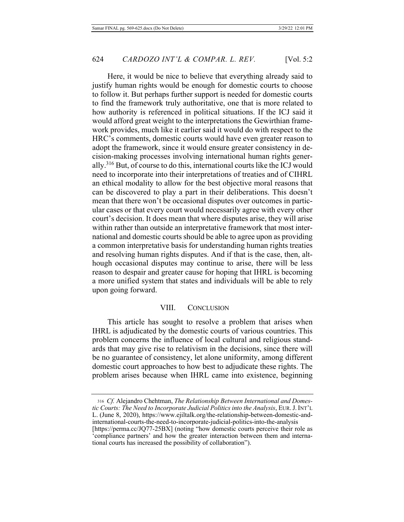Here, it would be nice to believe that everything already said to justify human rights would be enough for domestic courts to choose to follow it. But perhaps further support is needed for domestic courts to find the framework truly authoritative, one that is more related to how authority is referenced in political situations. If the ICJ said it would afford great weight to the interpretations the Gewirthian framework provides, much like it earlier said it would do with respect to the HRC's comments, domestic courts would have even greater reason to adopt the framework, since it would ensure greater consistency in decision-making processes involving international human rights generally.<sup>316</sup> But, of course to do this, international courts like the ICJ would need to incorporate into their interpretations of treaties and of CIHRL an ethical modality to allow for the best objective moral reasons that can be discovered to play a part in their deliberations. This doesn't mean that there won't be occasional disputes over outcomes in particular cases or that every court would necessarily agree with every other court's decision. It does mean that where disputes arise, they will arise within rather than outside an interpretative framework that most international and domestic courts should be able to agree upon as providing a common interpretative basis for understanding human rights treaties and resolving human rights disputes. And if that is the case, then, although occasional disputes may continue to arise, there will be less reason to despair and greater cause for hoping that IHRL is becoming a more unified system that states and individuals will be able to rely upon going forward.

## VIII. CONCLUSION

This article has sought to resolve a problem that arises when IHRL is adjudicated by the domestic courts of various countries. This problem concerns the influence of local cultural and religious standards that may give rise to relativism in the decisions, since there will be no guarantee of consistency, let alone uniformity, among different domestic court approaches to how best to adjudicate these rights. The problem arises because when IHRL came into existence, beginning

<sup>316</sup> Cf. Alejandro Chehtman, The Relationship Between International and Domestic Courts: The Need to Incorporate Judicial Politics into the Analysis, EUR. J. INT'L L. (June 8, 2020), https://www.ejiltalk.org/the-relationship-between-domestic-andinternational-courts-the-need-to-incorporate-judicial-politics-into-the-analysis [https://perma.cc/JQ77-25BX] (noting "how domestic courts perceive their role as 'compliance partners' and how the greater interaction between them and international courts has increased the possibility of collaboration").